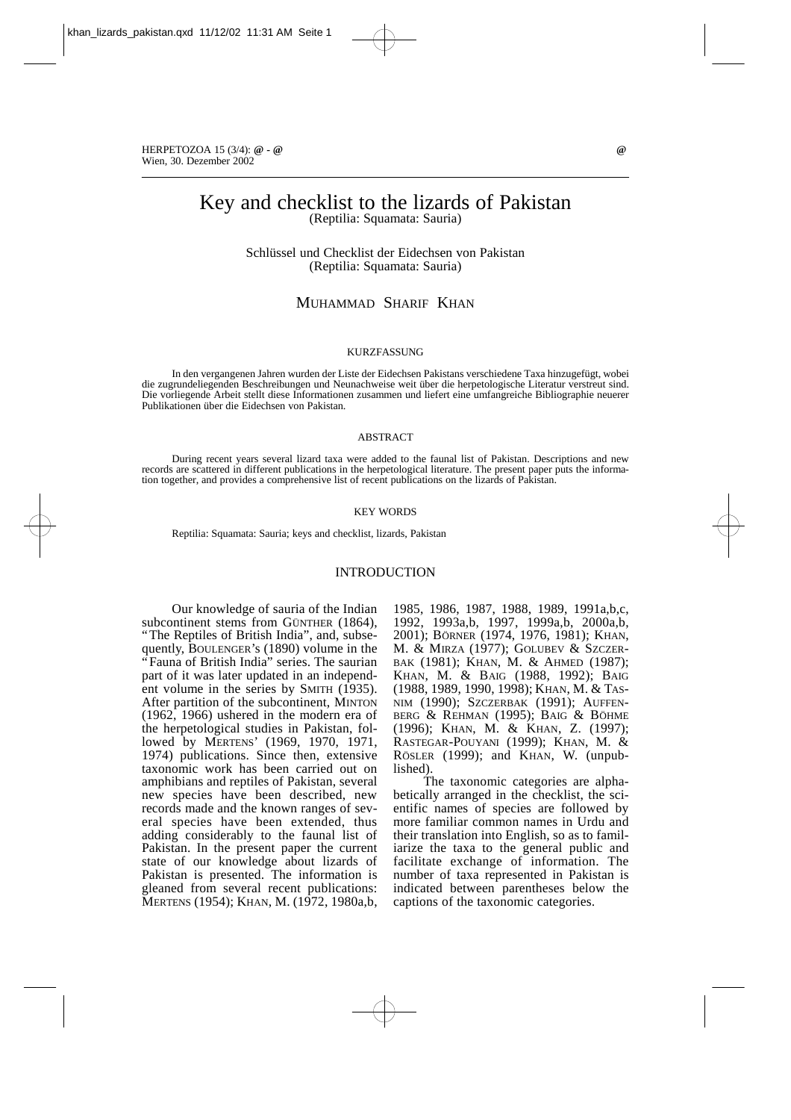HERPETOZOA 15 (3/4): **@ - @ @** Wien, 30. Dezember 2002

# Key and checklist to the lizards of Pakistan (Reptilia: Squamata: Sauria)

Schlüssel und Checklist der Eidechsen von Pakistan (Reptilia: Squamata: Sauria)

MUHAMMAD SHARIF KHAN

#### KURZFASSUNG

In den vergangenen Jahren wurden der Liste der Eidechsen Pakistans verschiedene Taxa hinzugefügt, wobei die zugrundeliegenden Beschreibungen und Neunachweise weit über die herpetologische Literatur verstreut sind. Die vorliegende Arbeit stellt diese Informationen zusammen und liefert eine umfangreiche Bibliographie neuerer Publikationen über die Eidechsen von Pakistan.

#### ABSTRACT

During recent years several lizard taxa were added to the faunal list of Pakistan. Descriptions and new records are scattered in different publications in the herpetological literature. The present paper puts the information together, and provides a comprehensive list of recent publications on the lizards of Pakistan.

#### KEY WORDS

Reptilia: Squamata: Sauria; keys and checklist, lizards, Pakistan

#### INTRODUCTION

Our knowledge of sauria of the Indian subcontinent stems from GÜNTHER (1864), "The Reptiles of British India", and, subsequently, BOULENGER's (1890) volume in the "Fauna of British India" series. The saurian part of it was later updated in an independent volume in the series by SMITH (1935). After partition of the subcontinent, MINTON (1962, 1966) ushered in the modern era of the herpetological studies in Pakistan, followed by MERTENS' (1969, 1970, 1971, 1974) publications. Since then, extensive taxonomic work has been carried out on amphibians and reptiles of Pakistan, several new species have been described, new records made and the known ranges of several species have been extended, thus adding considerably to the faunal list of Pakistan. In the present paper the current state of our knowledge about lizards of Pakistan is presented. The information is gleaned from several recent publications: MERTENS (1954); KHAN, M. (1972, 1980a,b, 1985, 1986, 1987, 1988, 1989, 1991a,b,c, 1992, 1993a,b, 1997, 1999a,b, 2000a,b, 2001); BÖRNER (1974, 1976, 1981); KHAN, M. & MIRZA (1977); GOLUBEV & SZCZER-BAK (1981); KHAN, M. & AHMED (1987); KHAN, M. & BAIG (1988, 1992); BAIG (1988, 1989, 1990, 1998); KHAN, M. & TAS-NIM (1990); SZCZERBAK (1991); AUFFEN-BERG & REHMAN (1995); BAIG & BÖHME (1996); KHAN, M. & KHAN, Z. (1997); RASTEGAR-POUYANI (1999); KHAN, M. & RÖSLER (1999); and KHAN, W. (unpublished).

The taxonomic categories are alphabetically arranged in the checklist, the scientific names of species are followed by more familiar common names in Urdu and their translation into English, so as to familiarize the taxa to the general public and facilitate exchange of information. The number of taxa represented in Pakistan is indicated between parentheses below the captions of the taxonomic categories.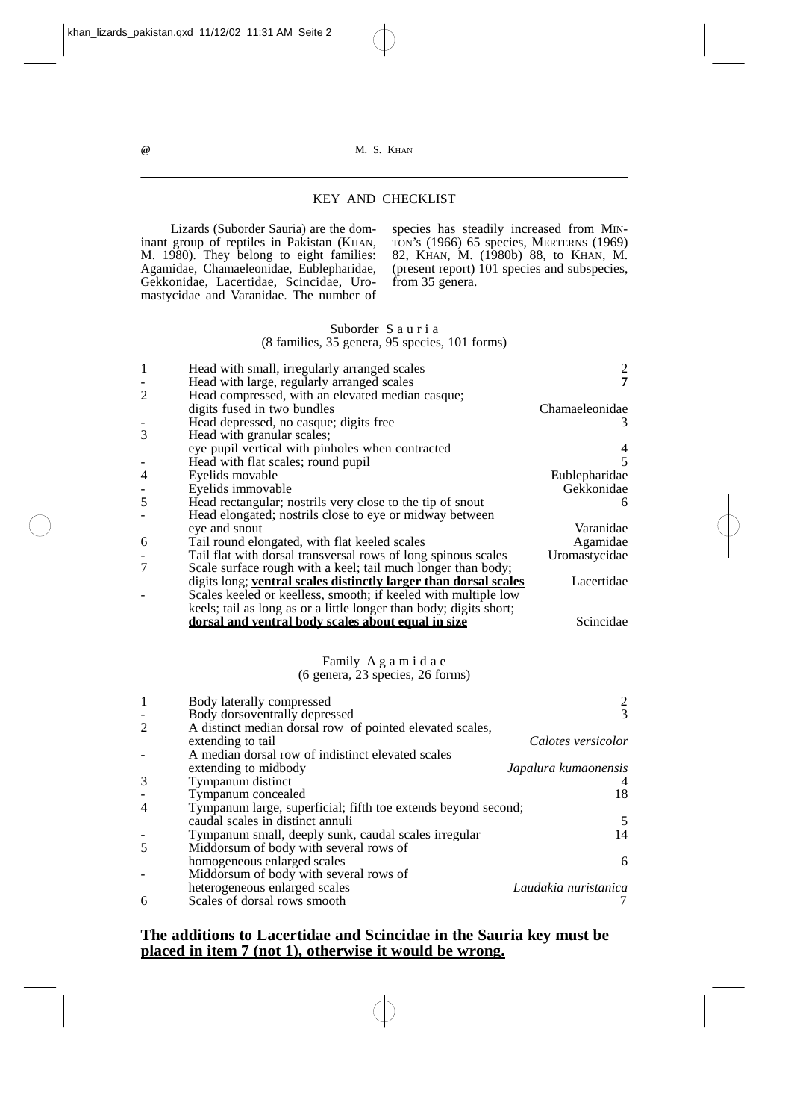# KEY AND CHECKLIST

Lizards (Suborder Sauria) are the dominant group of reptiles in Pakistan (KHAN, M. 1980). They belong to eight families: Agamidae, Chamaeleonidae, Eublepharidae, Gekkonidae, Lacertidae, Scincidae, Uromastycidae and Varanidae. The number of

species has steadily increased from MIN-TON's (1966) 65 species, MERTERNS (1969) 82, KHAN, M. (1980b) 88, to KHAN, M. (present report) 101 species and subspecies, from 35 genera.

## Suborder S a u r i a (8 families, 35 genera, 95 species, 101 forms)

|                | Head with small, irregularly arranged scales                            | $\overline{c}$            |
|----------------|-------------------------------------------------------------------------|---------------------------|
|                | Head with large, regularly arranged scales                              | $\overline{7}$            |
| $\overline{2}$ | Head compressed, with an elevated median casque;                        |                           |
|                | digits fused in two bundles                                             | Chamaeleonidae            |
|                | Head depressed, no casque; digits free                                  | 3                         |
| 3              | Head with granular scales;                                              |                           |
|                | eye pupil vertical with pinholes when contracted                        | 4                         |
|                | Head with flat scales; round pupil                                      | 5                         |
| 4              | Eyelids movable                                                         | Eublepharidae             |
| -              | Eyelids immovable                                                       | Gekkonidae                |
| 5              | Head rectangular; nostrils very close to the tip of snout               | 6                         |
|                | Head elongated; nostrils close to eye or midway between                 |                           |
|                | eye and snout                                                           | Varanidae                 |
| 6              | Tail round elongated, with flat keeled scales                           | Agamidae                  |
|                | Tail flat with dorsal transversal rows of long spinous scales           | Uromastycidae             |
| $\overline{7}$ | Scale surface rough with a keel; tail much longer than body;            |                           |
|                | digits long; ventral scales distinctly larger than dorsal scales        | Lacertidae                |
|                | Scales keeled or keelless, smooth; if keeled with multiple low          |                           |
|                | keels; tail as long as or a little longer than body; digits short;      |                           |
|                | dorsal and ventral body scales about equal in size                      | Scincidae                 |
|                |                                                                         |                           |
|                |                                                                         |                           |
|                |                                                                         |                           |
|                | Family Agamidae                                                         |                           |
|                | (6 genera, 23 species, 26 forms)                                        |                           |
|                |                                                                         |                           |
| 1              | Body laterally compressed                                               |                           |
|                | Body dorsoventrally depressed                                           | $\frac{2}{3}$             |
| $\overline{2}$ | A distinct median dorsal row of pointed elevated scales,                |                           |
|                | extending to tail                                                       | Calotes versicolor        |
|                | A median dorsal row of indistinct elevated scales                       |                           |
|                | extending to midbody                                                    | Japalura kumaonensis<br>4 |
| 3              | Tympanum distinct                                                       |                           |
|                | Tympanum concealed                                                      | 18                        |
| $\overline{4}$ | Tympanum large, superficial; fifth toe extends beyond second;           |                           |
|                | caudal scales in distinct annuli                                        | 5<br>14                   |
| 5              | Tympanum small, deeply sunk, caudal scales irregular                    |                           |
|                | Middorsum of body with several rows of                                  | 6                         |
|                | homogeneous enlarged scales                                             |                           |
|                | Middorsum of body with several rows of<br>heterogeneous enlarged scales | Laudakia nuristanica      |

# **The additions to Lacertidae and Scincidae in the Sauria key must be placed in item 7 (not 1), otherwise it would be wrong.**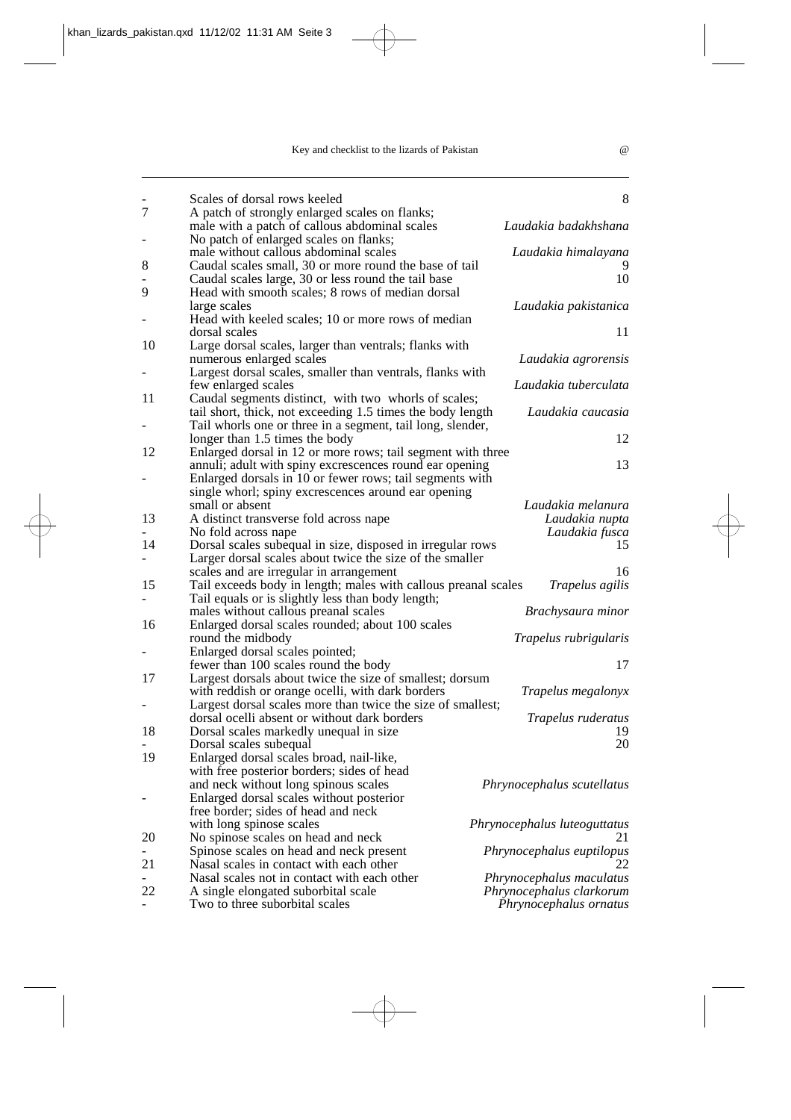|                | Scales of dorsal rows keeled                                   | 8                            |
|----------------|----------------------------------------------------------------|------------------------------|
| 7              | A patch of strongly enlarged scales on flanks;                 |                              |
|                | male with a patch of callous abdominal scales                  | Laudakia badakhshana         |
| $\overline{a}$ | No patch of enlarged scales on flanks;                         |                              |
|                | male without callous abdominal scales                          | Laudakia himalayana          |
| 8              | Caudal scales small, 30 or more round the base of tail         |                              |
|                | Caudal scales large, 30 or less round the tail base            | 10                           |
| 9              | Head with smooth scales; 8 rows of median dorsal               |                              |
|                | large scales                                                   | Laudakia pakistanica         |
| -              | Head with keeled scales; 10 or more rows of median             |                              |
|                | dorsal scales                                                  | 11                           |
| 10             | Large dorsal scales, larger than ventrals; flanks with         |                              |
|                | numerous enlarged scales                                       | Laudakia agrorensis          |
|                | Largest dorsal scales, smaller than ventrals, flanks with      |                              |
|                | few enlarged scales                                            | Laudakia tuberculata         |
| 11             | Caudal segments distinct, with two whorls of scales;           |                              |
|                | tail short, thick, not exceeding 1.5 times the body length     | Laudakia caucasia            |
|                | Tail whorls one or three in a segment, tail long, slender,     |                              |
|                | longer than 1.5 times the body                                 | 12                           |
| 12             | Enlarged dorsal in 12 or more rows; tail segment with three    |                              |
|                | annuli; adult with spiny excrescences round ear opening        | 13                           |
|                | Enlarged dorsals in 10 or fewer rows; tail segments with       |                              |
|                | single whorl; spiny excrescences around ear opening            |                              |
|                | small or absent                                                | Laudakia melanura            |
| 13             | A distinct transverse fold across nape                         | Laudakia nupta               |
|                | No fold across nape                                            | Laudakia fusca               |
| 14             | Dorsal scales subequal in size, disposed in irregular rows     | 15                           |
|                | Larger dorsal scales about twice the size of the smaller       |                              |
|                | scales and are irregular in arrangement                        | 16                           |
| 15             | Tail exceeds body in length; males with callous preanal scales | Trapelus agilis              |
|                | Tail equals or is slightly less than body length;              |                              |
|                | males without callous preanal scales                           | Brachysaura minor            |
| 16             | Enlarged dorsal scales rounded; about 100 scales               |                              |
|                | round the midbody                                              | Trapelus rubrigularis        |
|                | Enlarged dorsal scales pointed;                                |                              |
|                | fewer than 100 scales round the body                           | 17                           |
| 17             | Largest dorsals about twice the size of smallest; dorsum       |                              |
|                | with reddish or orange ocelli, with dark borders               | Trapelus megalonyx           |
|                | Largest dorsal scales more than twice the size of smallest;    |                              |
|                | dorsal ocelli absent or without dark borders                   | Trapelus ruderatus           |
| 18             | Dorsal scales markedly unequal in size                         | 19                           |
|                | Dorsal scales subequal                                         | 20                           |
| 19             | Enlarged dorsal scales broad, nail-like,                       |                              |
|                | with free posterior borders; sides of head                     |                              |
|                | and neck without long spinous scales                           | Phrynocephalus scutellatus   |
|                | Enlarged dorsal scales without posterior                       |                              |
|                | free border; sides of head and neck                            |                              |
|                | with long spinose scales                                       | Phrynocephalus luteoguttatus |
| 20             | No spinose scales on head and neck                             | 21                           |
|                | Spinose scales on head and neck present                        | Phrynocephalus euptilopus    |
| 21             | Nasal scales in contact with each other                        | 22                           |
|                | Nasal scales not in contact with each other                    | Phrynocephalus maculatus     |
| 22             | A single elongated suborbital scale                            | Phrynocephalus clarkorum     |
|                | Two to three suborbital scales                                 | Phrynocephalus ornatus       |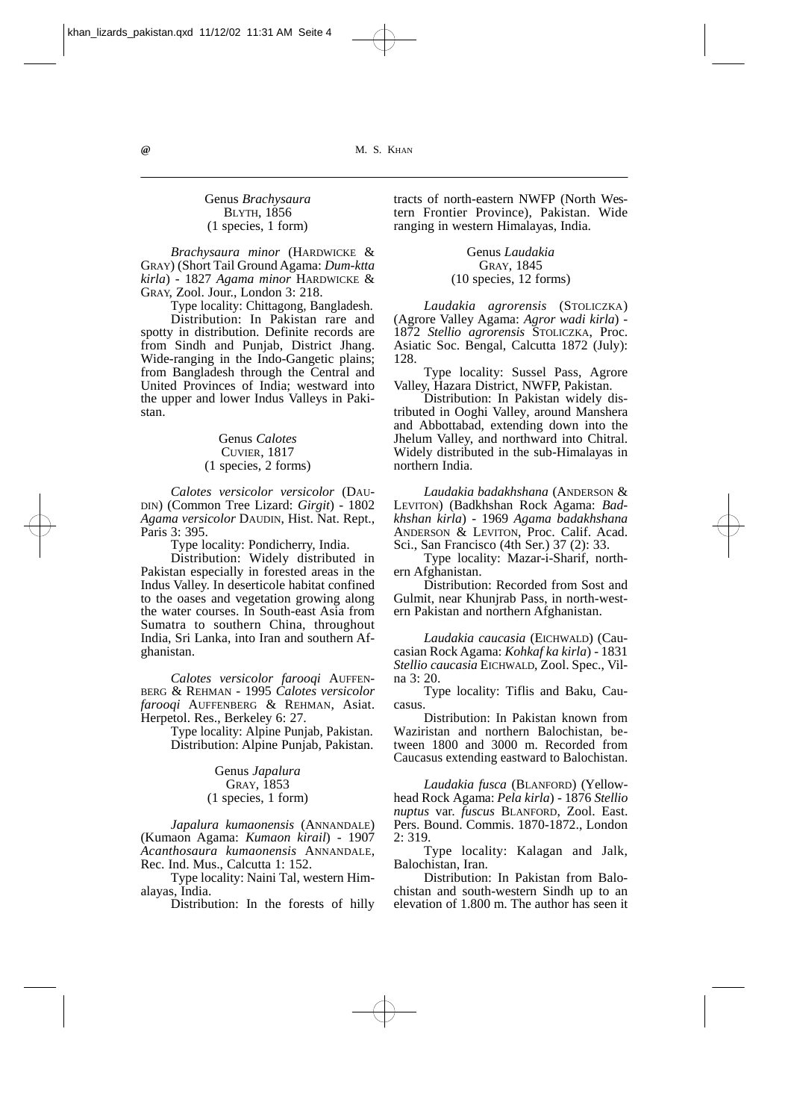#### Genus *Brachysaura* **BLYTH, 1856** (1 species, 1 form)

*Brachysaura minor* (HARDWICKE & GRAY) (Short Tail Ground Agama: *Dum-ktta kirla*) *-* 1827 *Agama minor* HARDWICKE & GRAY, Zool. Jour., London 3: 218.

Type locality: Chittagong, Bangladesh. Distribution: In Pakistan rare and spotty in distribution. Definite records are from Sindh and Punjab, District Jhang. Wide-ranging in the Indo-Gangetic plains; from Bangladesh through the Central and United Provinces of India; westward into the upper and lower Indus Valleys in Pakistan.

#### Genus *Calotes*  CUVIER, 1817 (1 species, 2 forms)

*Calotes versicolor versicolor* (DAU-DIN) (Common Tree Lizard: *Girgit*) - 1802 *Agama versicolor* DAUDIN, Hist. Nat. Rept., Paris 3: 395.

Type locality: Pondicherry, India.

Distribution: Widely distributed in Pakistan especially in forested areas in the Indus Valley. In deserticole habitat confined to the oases and vegetation growing along the water courses. In South-east Asia from Sumatra to southern China, throughout India, Sri Lanka, into Iran and southern Afghanistan.

*Calotes versicolor farooqi* AUFFEN-BERG & REHMAN - 1995 *Calotes versicolor farooqi* AUFFENBERG & REHMAN, Asiat. Herpetol. Res., Berkeley 6: 27.

> Type locality: Alpine Punjab, Pakistan. Distribution: Alpine Punjab, Pakistan.

#### Genus *Japalura*  GRAY, 1853 (1 species, 1 form)

*Japalura kumaonensis* (ANNANDALE) (Kumaon Agama: *Kumaon kirail*) - 1907 *Acanthosaura kumaonensis* ANNANDALE, Rec. Ind. Mus., Calcutta 1: 152.

Type locality: Naini Tal, western Himalayas, India.

Distribution: In the forests of hilly

tracts of north-eastern NWFP (North Western Frontier Province), Pakistan. Wide ranging in western Himalayas, India.

#### Genus *Laudakia*  GRAY, 1845 (10 species, 12 forms)

*Laudakia agrorensis* (STOLICZKA) (Agrore Valley Agama: *Agror wadi kirla*) - 1872 *Stellio agrorensis* STOLICZKA, Proc. Asiatic Soc. Bengal, Calcutta 1872 (July): 128.

Type locality: Sussel Pass, Agrore Valley, Hazara District, NWFP, Pakistan.

Distribution: In Pakistan widely distributed in Ooghi Valley, around Manshera and Abbottabad, extending down into the Jhelum Valley, and northward into Chitral. Widely distributed in the sub-Himalayas in northern India.

*Laudakia badakhshana* (ANDERSON & LEVITON) (Badkhshan Rock Agama: *Badkhshan kirla*) - 1969 *Agama badakhshana* ANDERSON & LEVITON, Proc. Calif. Acad. Sci., San Francisco (4th Ser.) 37 (2): 33.

Type locality: Mazar-i-Sharif, northern Afghanistan.

Distribution: Recorded from Sost and Gulmit, near Khunjrab Pass, in north-western Pakistan and northern Afghanistan.

*Laudakia caucasia* (EICHWALD) (Caucasian Rock Agama: *Kohkaf ka kirla*) - 1831 *Stellio caucasia* EICHWALD, Zool. Spec., Vilna 3: 20.

Type locality: Tiflis and Baku, Caucasus.

Distribution: In Pakistan known from Waziristan and northern Balochistan, between 1800 and 3000 m. Recorded from Caucasus extending eastward to Balochistan.

*Laudakia fusca* (BLANFORD) (Yellowhead Rock Agama: *Pela kirla*) - 1876 *Stellio nuptus* var. *fuscus* BLANFORD, Zool. East. Pers. Bound. Commis. 1870-1872., London  $2: 319.$ 

Type locality: Kalagan and Jalk, Balochistan, Iran.

Distribution: In Pakistan from Balochistan and south-western Sindh up to an elevation of 1.800 m. The author has seen it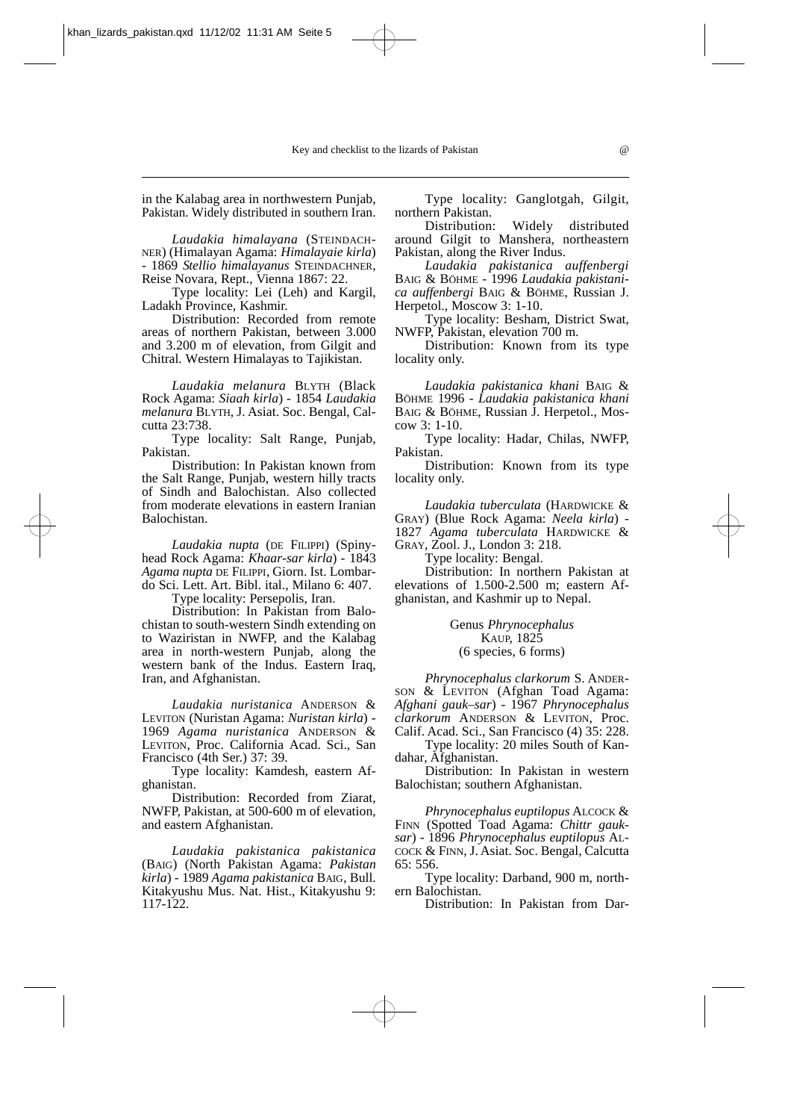in the Kalabag area in northwestern Punjab, Pakistan. Widely distributed in southern Iran.

*Laudakia himalayana* (STEINDACH-NER) (Himalayan Agama: *Himalayaie kirla*) - 1869 *Stellio himalayanus* STEINDACHNER, Reise Novara, Rept., Vienna 1867: 22.

Type locality: Lei (Leh) and Kargil, Ladakh Province, Kashmir.

Distribution: Recorded from remote areas of northern Pakistan, between 3.000 and 3.200 m of elevation, from Gilgit and Chitral. Western Himalayas to Tajikistan.

*Laudakia melanura* BLYTH (Black Rock Agama: *Siaah kirla*) - 1854 *Laudakia melanura* BLYTH, J. Asiat. Soc. Bengal, Calcutta 23:738.

Type locality: Salt Range, Punjab, Pakistan.

Distribution: In Pakistan known from the Salt Range, Punjab, western hilly tracts of Sindh and Balochistan. Also collected from moderate elevations in eastern Iranian Balochistan.

*Laudakia nupta* (DE FILIPPI) (Spinyhead Rock Agama: *Khaar-sar kirla*) - 1843 *Agama nupta* DE FILIPPI, Giorn. Ist. Lombardo Sci. Lett. Art. Bibl. ital., Milano 6: 407.

Type locality: Persepolis, Iran.

Distribution: In Pakistan from Balochistan to south-western Sindh extending on to Waziristan in NWFP, and the Kalabag area in north-western Punjab, along the western bank of the Indus. Eastern Iraq, Iran, and Afghanistan.

*Laudakia nuristanica* ANDERSON & LEVITON (Nuristan Agama: *Nuristan kirla*) - 1969 *Agama nuristanica* ANDERSON & LEVITON, Proc. California Acad. Sci., San Francisco (4th Ser.) 37: 39.

Type locality: Kamdesh, eastern Afghanistan.

Distribution: Recorded from Ziarat, NWFP, Pakistan, at 500-600 m of elevation, and eastern Afghanistan.

*Laudakia pakistanica pakistanica* (BAIG) (North Pakistan Agama: *Pakistan kirla*) - 1989 *Agama pakistanica* BAIG, Bull. Kitakyushu Mus. Nat. Hist., Kitakyushu 9: 117-122.

Type locality: Ganglotgah, Gilgit, northern Pakistan.

Distribution: Widely distributed around Gilgit to Manshera, northeastern Pakistan, along the River Indus.

*Laudakia pakistanica auffenbergi* BAIG & BÖHME - 1996 *Laudakia pakistanica auffenbergi* BAIG & BÖHME, Russian J. Herpetol., Moscow 3: 1-10.

Type locality: Besham, District Swat, NWFP, Pakistan, elevation 700 m.

Distribution: Known from its type locality only.

*Laudakia pakistanica khani* BAIG & BÖHME 1996 - *Laudakia pakistanica khani* BAIG & BÖHME, Russian J. Herpetol., Moscow 3: 1-10.

Type locality: Hadar, Chilas, NWFP, Pakistan.

Distribution: Known from its type locality only.

*Laudakia tuberculata* (HARDWICKE & GRAY) (Blue Rock Agama: *Neela kirla*) - 1827 *Agama tuberculata* HARDWICKE & GRAY, Zool. J., London 3: 218.

Type locality: Bengal.

Distribution: In northern Pakistan at elevations of 1.500-2.500 m; eastern Afghanistan, and Kashmir up to Nepal.

#### Genus *Phrynocephalus*  KAUP, 1825 (6 species, 6 forms)

*Phrynocephalus clarkorum* S. ANDER-SON & LEVITON (Afghan Toad Agama: *Afghani gauk–sar*) - 1967 *Phrynocephalus clarkorum* ANDERSON & LEVITON, Proc. Calif. Acad. Sci., San Francisco (4) 35: 228.

Type locality: 20 miles South of Kandahar, Afghanistan.

Distribution: In Pakistan in western Balochistan; southern Afghanistan.

*Phrynocephalus euptilopus* ALCOCK & FINN (Spotted Toad Agama: *Chittr gauksar*) - 1896 *Phrynocephalus euptilopus* AL-COCK & FINN, J. Asiat. Soc. Bengal, Calcutta 65: 556.

Type locality: Darband, 900 m, northern Balochistan.

Distribution: In Pakistan from Dar-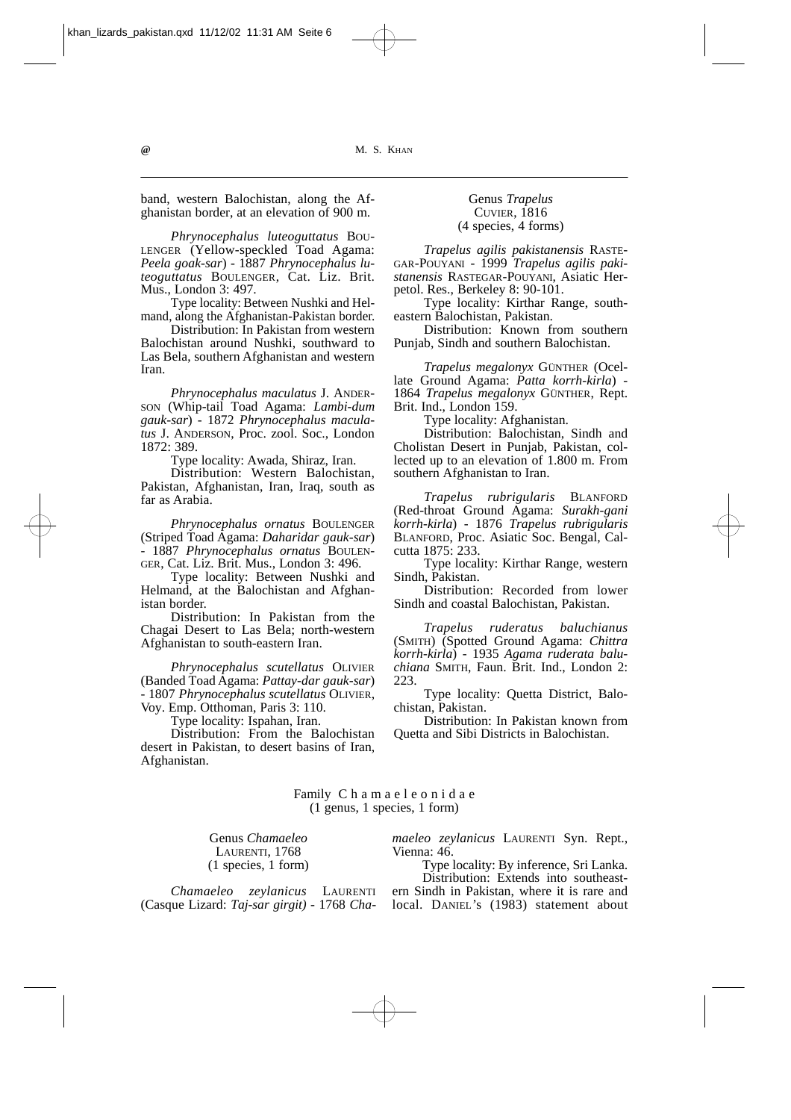band, western Balochistan, along the Afghanistan border, at an elevation of 900 m.

*Phrynocephalus luteoguttatus* BOU-LENGER (Yellow-speckled Toad Agama: *Peela goak-sar*) - 1887 *Phrynocephalus luteoguttatus* BOULENGER, Cat. Liz. Brit. Mus., London 3: 497.

Type locality: Between Nushki and Helmand, along the Afghanistan-Pakistan border.

Distribution: In Pakistan from western Balochistan around Nushki, southward to Las Bela, southern Afghanistan and western Iran.

*Phrynocephalus maculatus* J. ANDER-SON (Whip-tail Toad Agama: *Lambi-dum gauk-sar*) - 1872 *Phrynocephalus maculatus* J. ANDERSON, Proc. zool. Soc., London 1872: 389.

Type locality: Awada, Shiraz, Iran.

Distribution: Western Balochistan, Pakistan, Afghanistan, Iran, Iraq, south as far as Arabia.

*Phrynocephalus ornatus* BOULENGER (Striped Toad Agama: *Daharidar gauk-sar*) - 1887 *Phrynocephalus ornatus* BOULEN-GER, Cat. Liz. Brit. Mus., London 3: 496.

Type locality: Between Nushki and Helmand, at the Balochistan and Afghanistan border.

Distribution: In Pakistan from the Chagai Desert to Las Bela; north-western Afghanistan to south-eastern Iran.

*Phrynocephalus scutellatus* OLIVIER (Banded Toad Agama: *Pattay-dar gauk-sar*) - 1807 *Phrynocephalus scutellatus* OLIVIER, Voy. Emp. Otthoman, Paris 3: 110.

Type locality: Ispahan, Iran.

Distribution: From the Balochistan desert in Pakistan, to desert basins of Iran, Afghanistan.

#### Genus *Trapelus*  CUVIER, 1816 (4 species, 4 forms)

*Trapelus agilis pakistanensis* RASTE-GAR-POUYANI - 1999 *Trapelus agilis pakistanensis* RASTEGAR-POUYANI, Asiatic Herpetol. Res., Berkeley 8: 90-101.

Type locality: Kirthar Range, southeastern Balochistan, Pakistan.

Distribution: Known from southern Punjab, Sindh and southern Balochistan.

*Trapelus megalonyx* GÜNTHER (Ocellate Ground Agama: *Patta korrh-kirla*) - 1864 *Trapelus megalonyx* GÜNTHER, Rept. Brit. Ind., London 159.

Type locality: Afghanistan.

Distribution: Balochistan, Sindh and Cholistan Desert in Punjab, Pakistan, collected up to an elevation of 1.800 m. From southern Afghanistan to Iran.

*Trapelus rubrigularis* BLANFORD (Red-throat Ground Agama: *Surakh-gani korrh-kirla*) - 1876 *Trapelus rubrigularis* BLANFORD, Proc. Asiatic Soc. Bengal, Calcutta 1875: 233.

Type locality: Kirthar Range, western Sindh, Pakistan.

Distribution: Recorded from lower Sindh and coastal Balochistan, Pakistan.

*Trapelus ruderatus baluchianus* (SMITH) (Spotted Ground Agama: *Chittra korrh-kirla*) - 1935 *Agama ruderata baluchiana* SMITH, Faun. Brit. Ind., London 2: 223.

Type locality: Quetta District, Balochistan, Pakistan.

Distribution: In Pakistan known from Quetta and Sibi Districts in Balochistan.

Family C h a m a e l e o n i d a e (1 genus, 1 species, 1 form)

Genus *Chamaeleo* LAURENTI, 1768 (1 species, 1 form) *maeleo zeylanicus* LAURENTI Syn. Rept., Vienna: 46.

Type locality: By inference, Sri Lanka.

*Chamaeleo zeylanicus* LAURENTI (Casque Lizard: *Taj-sar girgit) -* 1768 *Cha-*

Distribution: Extends into southeastern Sindh in Pakistan, where it is rare and local. DANIEL's (1983) statement about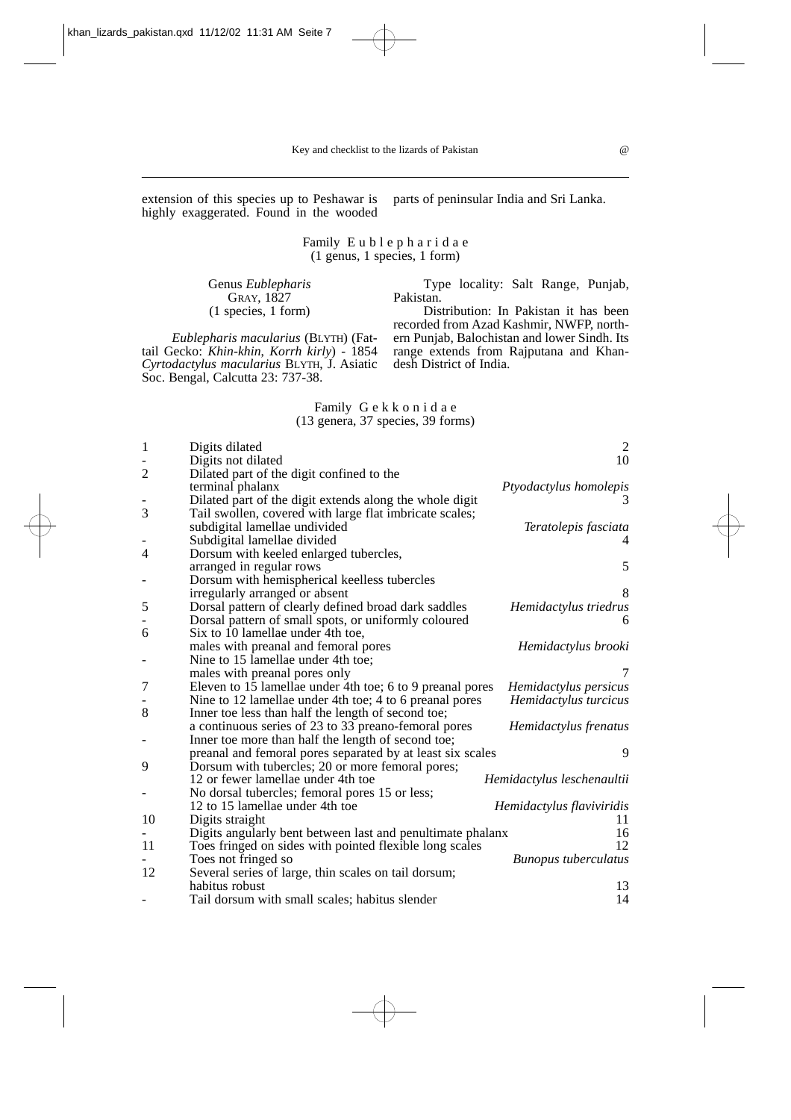(1 genus, 1 species, 1 form)

Family E u b l e p h a r i d a e extension of this species up to Peshawar is highly exaggerated. Found in the wooded

> Genus *Eublepharis*  GRAY, 1827 (1 species, 1 form)

*Eublepharis macularius* (BLYTH) (Fattail Gecko: *Khin-khin*, *Korrh kirly*) - 1854 *Cyrtodactylus macularius* BLYTH, J. Asiatic Soc. Bengal, Calcutta 23: 737-38.

parts of peninsular India and Sri Lanka.

Type locality: Salt Range, Punjab,

Pakistan. Distribution: In Pakistan it has been recorded from Azad Kashmir, NWFP, northern Punjab, Balochistan and lower Sindh. Its range extends from Rajputana and Khandesh District of India.

Family G e k k o n i d a e (13 genera, 37 species, 39 forms)

| 1              | Digits dilated                                             | 2                           |
|----------------|------------------------------------------------------------|-----------------------------|
|                | Digits not dilated                                         | 10                          |
| $\overline{2}$ | Dilated part of the digit confined to the                  |                             |
|                | terminal phalanx                                           | Ptyodactylus homolepis      |
|                | Dilated part of the digit extends along the whole digit    | 3                           |
| 3              | Tail swollen, covered with large flat imbricate scales;    |                             |
|                | subdigital lamellae undivided                              | Teratolepis fasciata        |
|                | Subdigital lamellae divided                                |                             |
| 4              | Dorsum with keeled enlarged tubercles,                     |                             |
|                | arranged in regular rows                                   | 5                           |
|                | Dorsum with hemispherical keelless tubercles               |                             |
|                | irregularly arranged or absent                             | 8                           |
| 5              | Dorsal pattern of clearly defined broad dark saddles       | Hemidactylus triedrus       |
|                | Dorsal pattern of small spots, or uniformly coloured       | 6                           |
| 6              | Six to 10 lamellae under 4th toe,                          |                             |
|                | males with preanal and femoral pores                       | Hemidactylus brooki         |
|                | Nine to 15 lamellae under 4th toe;                         |                             |
|                | males with preanal pores only                              |                             |
| 7              | Eleven to 15 lamellae under 4th toe; 6 to 9 preanal pores  | Hemidactylus persicus       |
|                | Nine to 12 lamellae under 4th toe; 4 to 6 preanal pores    | Hemidactylus turcicus       |
| 8              | Inner toe less than half the length of second toe;         |                             |
|                | a continuous series of 23 to 33 preano-femoral pores       | Hemidactylus frenatus       |
|                | Inner toe more than half the length of second toe;         |                             |
|                | preanal and femoral pores separated by at least six scales | 9                           |
| 9              | Dorsum with tubercles; 20 or more femoral pores;           |                             |
|                | 12 or fewer lamellae under 4th toe                         | Hemidactylus leschenaultii  |
|                | No dorsal tubercles; femoral pores 15 or less;             |                             |
|                | 12 to 15 lamellae under 4th toe                            | Hemidactylus flaviviridis   |
| 10             | Digits straight                                            | 11                          |
|                | Digits angularly bent between last and penultimate phalanx | 16                          |
| 11             | Toes fringed on sides with pointed flexible long scales    | 12                          |
|                | Toes not fringed so                                        | <b>Bunopus tuberculatus</b> |
| 12             | Several series of large, thin scales on tail dorsum;       |                             |
|                | habitus robust                                             | 13                          |
|                | Tail dorsum with small scales; habitus slender             | 14                          |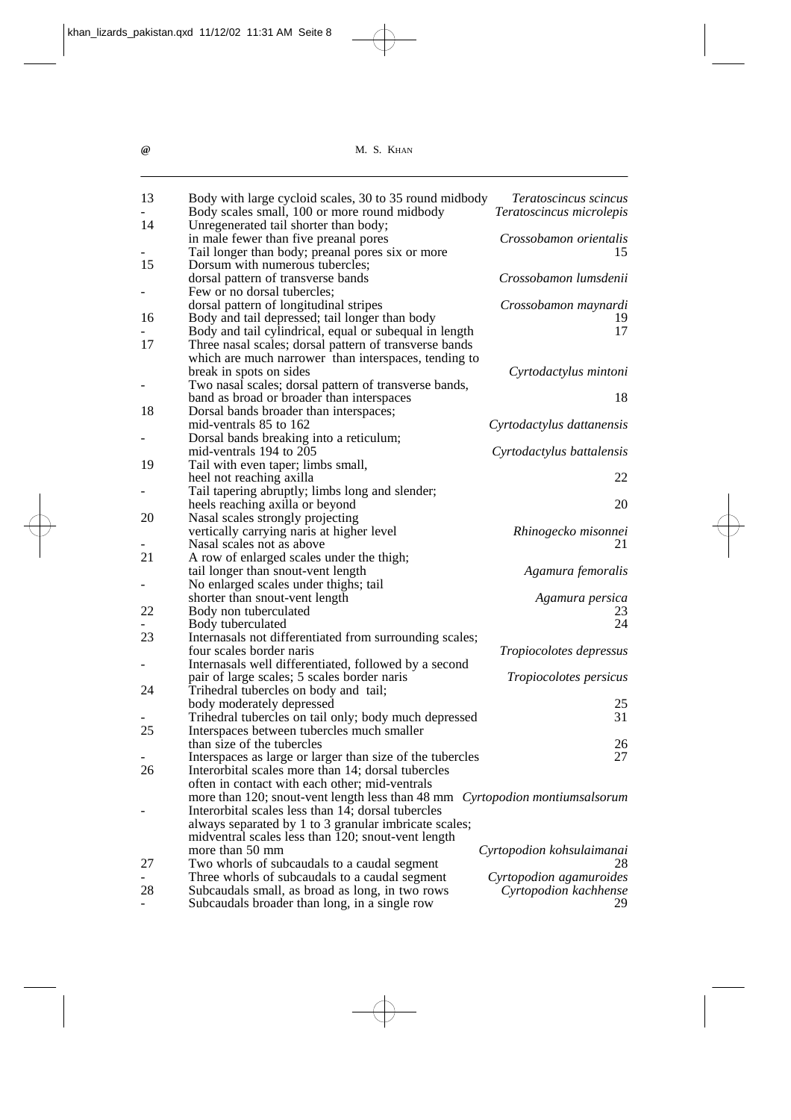| 13 | Body with large cycloid scales, 30 to 35 round midbody                       | Teratoscincus scincus          |
|----|------------------------------------------------------------------------------|--------------------------------|
|    | Body scales small, 100 or more round midbody                                 | Teratoscincus microlepis       |
| 14 | Unregenerated tail shorter than body;                                        |                                |
|    | in male fewer than five preanal pores                                        | Crossobamon orientalis         |
|    | Tail longer than body; preanal pores six or more                             | 15                             |
| 15 | Dorsum with numerous tubercles;                                              |                                |
|    | dorsal pattern of transverse bands                                           | Crossobamon lumsdenii          |
|    | Few or no dorsal tubercles;                                                  |                                |
|    | dorsal pattern of longitudinal stripes                                       | Crossobamon maynardi           |
| 16 | Body and tail depressed; tail longer than body                               | 19                             |
|    | Body and tail cylindrical, equal or subequal in length                       | 17                             |
| 17 | Three nasal scales; dorsal pattern of transverse bands                       |                                |
|    | which are much narrower than interspaces, tending to                         |                                |
|    | break in spots on sides                                                      | Cyrtodactylus mintoni          |
|    | Two nasal scales; dorsal pattern of transverse bands,                        |                                |
|    | band as broad or broader than interspaces                                    | 18                             |
| 18 | Dorsal bands broader than interspaces;                                       |                                |
|    | mid-ventrals 85 to 162                                                       | Cyrtodactylus dattanensis      |
|    | Dorsal bands breaking into a reticulum;                                      |                                |
|    | mid-ventrals 194 to 205                                                      | Cyrtodactylus battalensis      |
| 19 | Tail with even taper; limbs small,                                           |                                |
|    | heel not reaching axilla                                                     | 22                             |
|    | Tail tapering abruptly; limbs long and slender;                              |                                |
|    | heels reaching axilla or beyond                                              | 20                             |
| 20 | Nasal scales strongly projecting                                             |                                |
|    | vertically carrying naris at higher level                                    | Rhinogecko misonnei            |
|    | Nasal scales not as above                                                    | 21                             |
| 21 | A row of enlarged scales under the thigh;                                    |                                |
|    | tail longer than snout-vent length                                           | Agamura femoralis              |
|    | No enlarged scales under thighs; tail                                        |                                |
|    | shorter than snout-vent length                                               | Agamura persica                |
| 22 | Body non tuberculated                                                        | 23.                            |
|    | Body tuberculated                                                            | 24                             |
| 23 | Internasals not differentiated from surrounding scales;                      |                                |
|    | four scales border naris                                                     | <i>Tropiocolotes depressus</i> |
|    | Internasals well differentiated, followed by a second                        |                                |
|    | pair of large scales; 5 scales border naris                                  |                                |
|    |                                                                              | Tropiocolotes persicus         |
| 24 | Trihedral tubercles on body and tail;                                        | 25                             |
|    | body moderately depressed                                                    | 31                             |
|    | Trihedral tubercles on tail only; body much depressed                        |                                |
| 25 | Interspaces between tubercles much smaller                                   |                                |
|    | than size of the tubercles                                                   | 26                             |
|    | Interspaces as large or larger than size of the tubercles                    | 27                             |
| 26 | Interorbital scales more than 14; dorsal tubercles                           |                                |
|    | often in contact with each other; mid-ventrals                               |                                |
|    | more than 120; snout-vent length less than 48 mm Cyrtopodion montiumsalsorum |                                |
|    | Interorbital scales less than 14; dorsal tubercles                           |                                |
|    | always separated by 1 to 3 granular imbricate scales;                        |                                |
|    | midventral scales less than 120; snout-vent length                           |                                |
|    | more than 50 mm                                                              | Cyrtopodion kohsulaimanai      |
| 27 | Two whorls of subcaudals to a caudal segment                                 | 28                             |
|    | Three whorls of subcaudals to a caudal segment                               | Cyrtopodion agamuroides        |
| 28 | Subcaudals small, as broad as long, in two rows                              | Cyrtopodion kachhense          |
|    | Subcaudals broader than long, in a single row                                | 29.                            |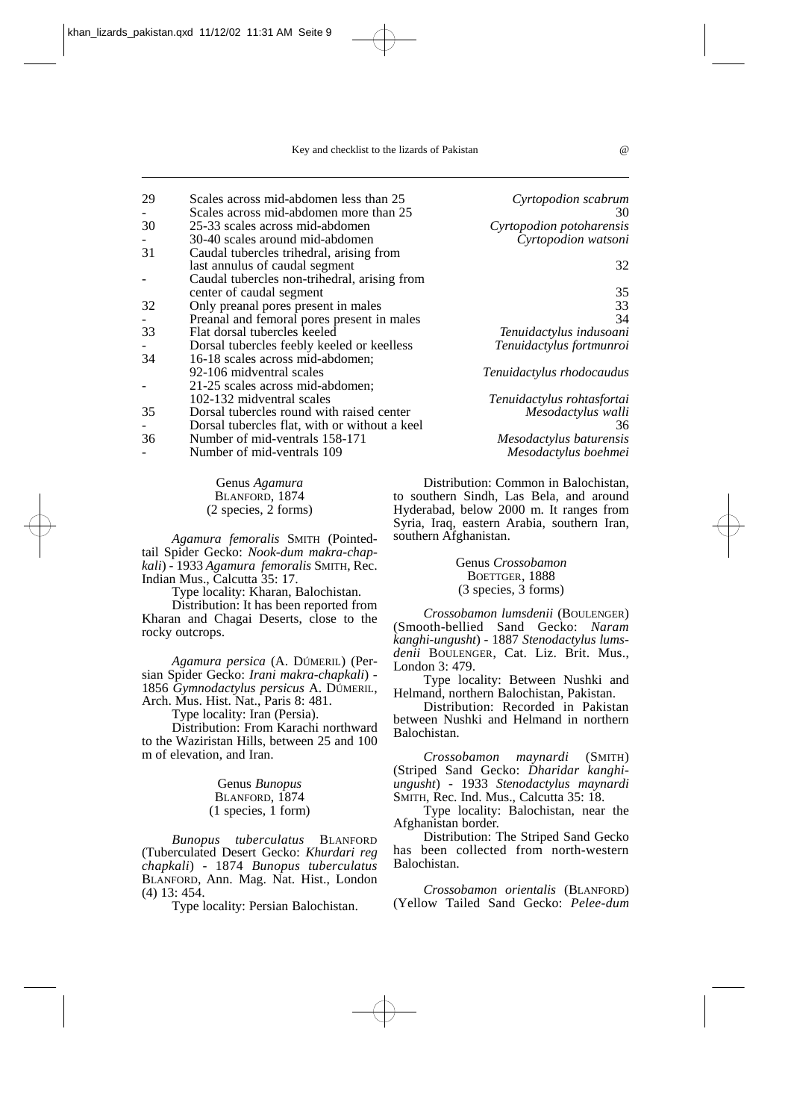| 29 | Scales across mid-abdomen less than 25        | Cyrtopodion scabrum        |
|----|-----------------------------------------------|----------------------------|
|    | Scales across mid-abdomen more than 25        | 30                         |
| 30 | 25-33 scales across mid-abdomen               | Cyrtopodion potoharensis   |
|    | 30-40 scales around mid-abdomen               | Cyrtopodion watsoni        |
| 31 | Caudal tubercles trihedral, arising from      |                            |
|    | last annulus of caudal segment                | 32                         |
|    | Caudal tubercles non-trihedral, arising from  |                            |
|    | center of caudal segment                      | 35                         |
| 32 | Only preanal pores present in males           | 33                         |
|    | Preanal and femoral pores present in males    | 34                         |
| 33 | Flat dorsal tubercles keeled                  | Tenuidactylus indusoani    |
|    | Dorsal tubercles feebly keeled or keelless    | Tenuidactylus fortmunroi   |
| 34 | 16-18 scales across mid-abdomen;              |                            |
|    | 92-106 midventral scales                      | Tenuidactylus rhodocaudus  |
|    | 21-25 scales across mid-abdomen;              |                            |
|    | 102-132 midventral scales                     | Tenuidactylus rohtasfortai |
| 35 | Dorsal tubercles round with raised center     | Mesodactylus walli         |
|    | Dorsal tubercles flat, with or without a keel | 36                         |
| 36 | Number of mid-ventrals 158-171                | Mesodactylus baturensis    |
|    | Number of mid-ventrals 109                    | Mesodactylus boehmei       |

Genus *Agamura*  BLANFORD, 1874 (2 species, 2 forms)

*Agamura femoralis* SMITH (Pointedtail Spider Gecko: *Nook-dum makra-chapkali*) - 1933 *Agamura femoralis* SMITH, Rec. Indian Mus., Calcutta 35: 17.

Type locality: Kharan, Balochistan.

Distribution: It has been reported from Kharan and Chagai Deserts, close to the rocky outcrops.

*Agamura persica* (A. DÚMERIL) (Persian Spider Gecko: *Irani makra-chapkali*) - 1856 *Gymnodactylus persicus* A. DÚMERIL, Arch. Mus. Hist. Nat., Paris 8: 481.

Type locality: Iran (Persia).

Distribution: From Karachi northward to the Waziristan Hills, between 25 and 100 m of elevation, and Iran.

> Genus *Bunopus* BLANFORD, 1874 (1 species, 1 form)

*Bunopus tuberculatus* BLANFORD (Tuberculated Desert Gecko: *Khurdari reg chapkali*) - 1874 *Bunopus tuberculatus* BLANFORD, Ann. Mag. Nat. Hist., London (4) 13: 454.

Type locality: Persian Balochistan.

Distribution: Common in Balochistan, to southern Sindh, Las Bela, and around Hyderabad, below 2000 m. It ranges from Syria, Iraq, eastern Arabia, southern Iran, southern Afghanistan.

> Genus *Crossobamon* BOETTGER, 1888 (3 species, 3 forms)

*Crossobamon lumsdenii* (BOULENGER) (Smooth-bellied Sand Gecko: *Naram kanghi-ungusht*) - 1887 *Stenodactylus lumsdenii* BOULENGER, Cat. Liz. Brit. Mus., London 3: 479.

Type locality: Between Nushki and Helmand, northern Balochistan, Pakistan.

Distribution: Recorded in Pakistan between Nushki and Helmand in northern Balochistan.

*Crossobamon maynardi* (SMITH) (Striped Sand Gecko: *Dharidar kanghiungusht*) - 1933 *Stenodactylus maynardi* SMITH, Rec. Ind. Mus., Calcutta 35: 18.

Type locality: Balochistan, near the Afghanistan border.

Distribution: The Striped Sand Gecko has been collected from north-western Balochistan.

*Crossobamon orientalis* (BLANFORD) (Yellow Tailed Sand Gecko: *Pelee-dum*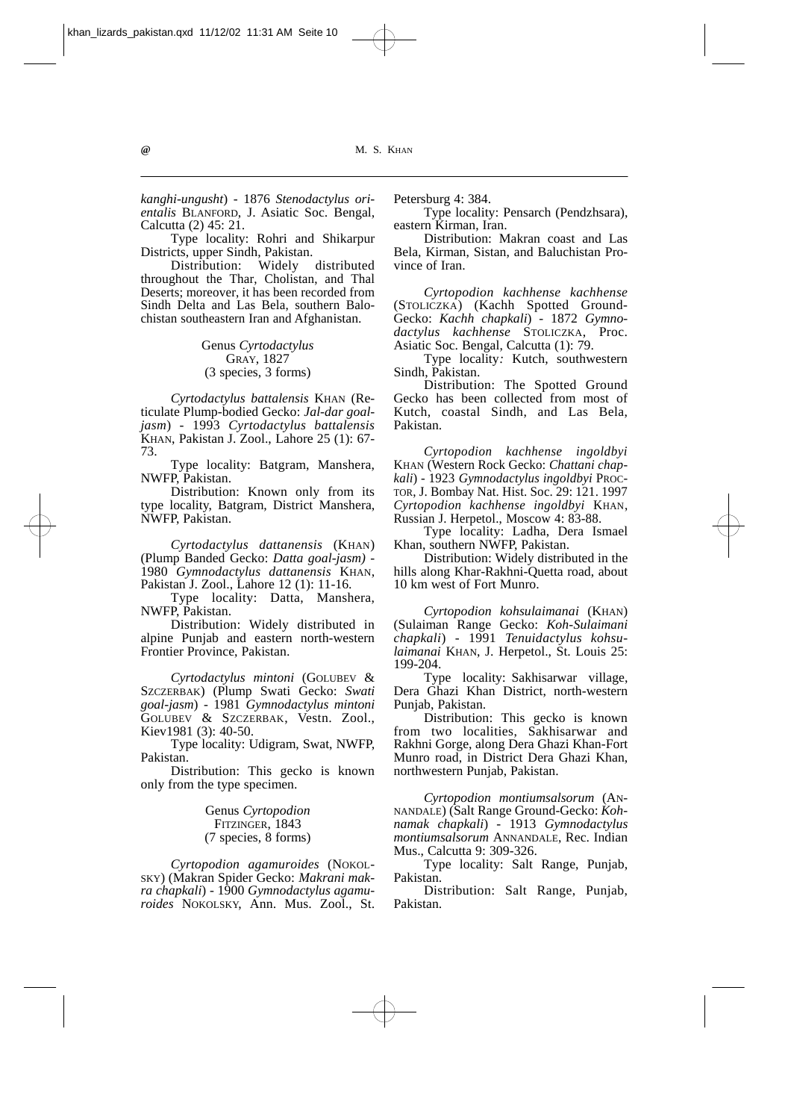*kanghi-ungusht*) - 1876 *Stenodactylus orientalis* BLANFORD, J. Asiatic Soc. Bengal, Calcutta (2) 45: 21.

Type locality: Rohri and Shikarpur Districts, upper Sindh, Pakistan.

Distribution: Widely distributed throughout the Thar, Cholistan, and Thal Deserts; moreover, it has been recorded from Sindh Delta and Las Bela, southern Balochistan southeastern Iran and Afghanistan.

> Genus *Cyrtodactylus*  GRAY, 1827 (3 species, 3 forms)

*Cyrtodactylus battalensis* KHAN (Reticulate Plump-bodied Gecko: *Jal-dar goaljasm*) - 1993 *Cyrtodactylus battalensis* KHAN, Pakistan J. Zool., Lahore 25 (1): 67- 73.

Type locality: Batgram, Manshera, NWFP, Pakistan.

Distribution: Known only from its type locality, Batgram, District Manshera, NWFP, Pakistan.

*Cyrtodactylus dattanensis* (KHAN) (Plump Banded Gecko: *Datta goal-jasm) -* 1980 *Gymnodactylus dattanensis* KHAN, Pakistan J. Zool., Lahore 12 (1): 11-16.

Type locality: Datta, Manshera, NWFP, Pakistan.

Distribution: Widely distributed in alpine Punjab and eastern north-western Frontier Province, Pakistan.

*Cyrtodactylus mintoni* (GOLUBEV & SZCZERBAK) (Plump Swati Gecko: *Swati goal-jasm*) - 1981 *Gymnodactylus mintoni* GOLUBEV & SZCZERBAK, Vestn. Zool., Kiev1981 (3): 40-50.

Type locality: Udigram, Swat, NWFP, Pakistan.

Distribution: This gecko is known only from the type specimen.

> Genus *Cyrtopodion* FITZINGER, 1843 (7 species, 8 forms)

*Cyrtopodion agamuroides* (NOKOL-SKY) (Makran Spider Gecko: *Makrani makra chapkali*) - 1900 *Gymnodactylus agamuroides* NOKOLSKY, Ann. Mus. Zool., St. Petersburg 4: 384.

Type locality: Pensarch (Pendzhsara), eastern Kirman, Iran.

Distribution: Makran coast and Las Bela, Kirman, Sistan, and Baluchistan Province of Iran.

*Cyrtopodion kachhense kachhense* (STOLICZKA) (Kachh Spotted Ground-Gecko: *Kachh chapkali*) - 1872 *Gymnodactylus kachhense* STOLICZKA, Proc. Asiatic Soc. Bengal, Calcutta (1): 79.

Type locality*:* Kutch, southwestern Sindh, Pakistan.

Distribution: The Spotted Ground Gecko has been collected from most of Kutch, coastal Sindh, and Las Bela, Pakistan.

*Cyrtopodion kachhense ingoldbyi* KHAN (Western Rock Gecko: *Chattani chapkali*) - 1923 *Gymnodactylus ingoldbyi* PROC-TOR, J. Bombay Nat. Hist. Soc. 29: 121. 1997 *Cyrtopodion kachhense ingoldbyi* KHAN, Russian J. Herpetol., Moscow 4: 83-88.

Type locality: Ladha, Dera Ismael Khan, southern NWFP, Pakistan.

Distribution: Widely distributed in the hills along Khar-Rakhni-Quetta road, about 10 km west of Fort Munro.

*Cyrtopodion kohsulaimanai* (KHAN) (Sulaiman Range Gecko: *Koh-Sulaimani chapkali*) - 1991 *Tenuidactylus kohsulaimanai* KHAN, J. Herpetol., St. Louis 25: 199-204.

Type locality: Sakhisarwar village, Dera Ghazi Khan District, north-western Punjab, Pakistan.

Distribution: This gecko is known from two localities, Sakhisarwar and Rakhni Gorge, along Dera Ghazi Khan-Fort Munro road, in District Dera Ghazi Khan, northwestern Punjab, Pakistan.

*Cyrtopodion montiumsalsorum* (AN-NANDALE) (Salt Range Ground-Gecko: *Kohnamak chapkali*) - 1913 *Gymnodactylus montiumsalsorum* ANNANDALE, Rec. Indian Mus., Calcutta 9: 309-326.

Type locality: Salt Range, Punjab, Pakistan.

Distribution: Salt Range, Punjab, Pakistan.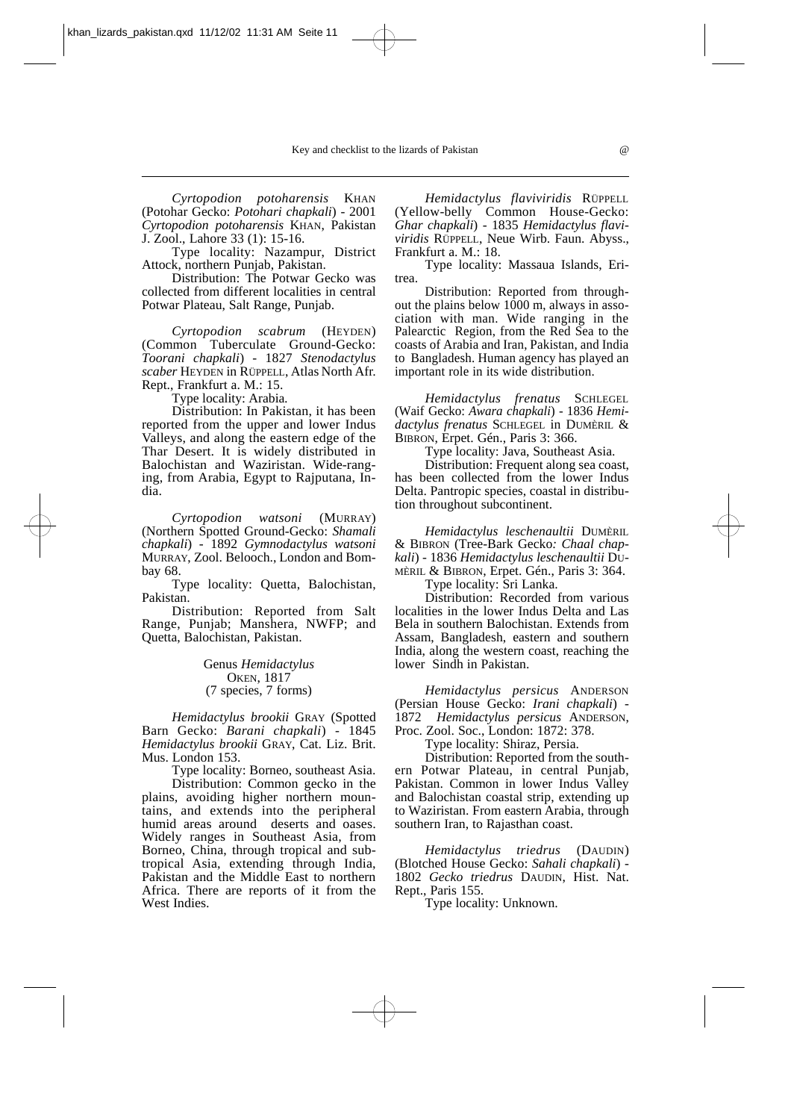*Cyrtopodion potoharensis* KHAN (Potohar Gecko: *Potohari chapkali*) - 2001 *Cyrtopodion potoharensis* KHAN, Pakistan J. Zool., Lahore 33 (1): 15-16.

Type locality: Nazampur, District Attock, northern Punjab, Pakistan.

Distribution: The Potwar Gecko was collected from different localities in central Potwar Plateau, Salt Range, Punjab.

*Cyrtopodion scabrum* (HEYDEN) (Common Tuberculate Ground-Gecko: *Toorani chapkali*) - 1827 *Stenodactylus scaber* HEYDEN in RÜPPELL, Atlas North Afr. Rept., Frankfurt a. M.: 15.

Type locality: Arabia*.*

Distribution: In Pakistan, it has been reported from the upper and lower Indus Valleys, and along the eastern edge of the Thar Desert. It is widely distributed in Balochistan and Waziristan. Wide-ranging, from Arabia, Egypt to Rajputana, India.

*Cyrtopodion watsoni* (MURRAY) (Northern Spotted Ground-Gecko: *Shamali chapkali*) - 1892 *Gymnodactylus watsoni* MURRAY, Zool. Belooch., London and Bombay 68.

Type locality: Quetta, Balochistan, Pakistan.

Distribution: Reported from Salt Range, Punjab; Manshera, NWFP; and Quetta, Balochistan, Pakistan.

> Genus *Hemidactylus* OKEN, 1817 (7 species, 7 forms)

*Hemidactylus brookii* GRAY (Spotted Barn Gecko: *Barani chapkali*) - 1845 *Hemidactylus brookii* GRAY, Cat. Liz. Brit. Mus. London 153.

Type locality: Borneo, southeast Asia. Distribution: Common gecko in the plains, avoiding higher northern mountains, and extends into the peripheral humid areas around deserts and oases. Widely ranges in Southeast Asia, from Borneo, China, through tropical and subtropical Asia, extending through India, Pakistan and the Middle East to northern Africa. There are reports of it from the West Indies.

*Hemidactylus flaviviridis* RÜPPELL (Yellow-belly Common House-Gecko: *Ghar chapkali*) - 1835 *Hemidactylus flaviviridis* RÜPPELL, Neue Wirb. Faun. Abyss., Frankfurt a. M.: 18.

Type locality: Massaua Islands, Eritrea.

Distribution: Reported from throughout the plains below 1000 m, always in association with man. Wide ranging in the Palearctic Region, from the Red Sea to the coasts of Arabia and Iran, Pakistan, and India to Bangladesh. Human agency has played an important role in its wide distribution.

*Hemidactylus frenatus* SCHLEGEL (Waif Gecko: *Awara chapkali*) - 1836 *Hemidactylus frenatus* SCHLEGEL in DUMÈRIL & BIBRON, Erpet. Gén., Paris 3: 366.

Type locality: Java, Southeast Asia.

Distribution: Frequent along sea coast, has been collected from the lower Indus Delta. Pantropic species, coastal in distribution throughout subcontinent.

*Hemidactylus leschenaultii* DUMÈRIL & BIBRON (Tree-Bark Gecko*: Chaal chapkali*) - 1836 *Hemidactylus leschenaultii* DU-MÈRIL & BIBRON, Erpet. Gén., Paris 3: 364.

Type locality: Sri Lanka.

Distribution: Recorded from various localities in the lower Indus Delta and Las Bela in southern Balochistan. Extends from Assam, Bangladesh, eastern and southern India, along the western coast, reaching the lower Sindh in Pakistan.

*Hemidactylus persicus* ANDERSON (Persian House Gecko: *Irani chapkali*) - 1872 *Hemidactylus persicus* ANDERSON, Proc. Zool. Soc., London: 1872: 378.

Type locality: Shiraz, Persia.

Distribution: Reported from the southern Potwar Plateau, in central Punjab, Pakistan. Common in lower Indus Valley and Balochistan coastal strip, extending up to Waziristan. From eastern Arabia, through southern Iran, to Rajasthan coast.

*Hemidactylus triedrus* (DAUDIN) (Blotched House Gecko: *Sahali chapkali*) - 1802 *Gecko triedrus* DAUDIN, Hist. Nat. Rept., Paris 155.

Type locality: Unknown.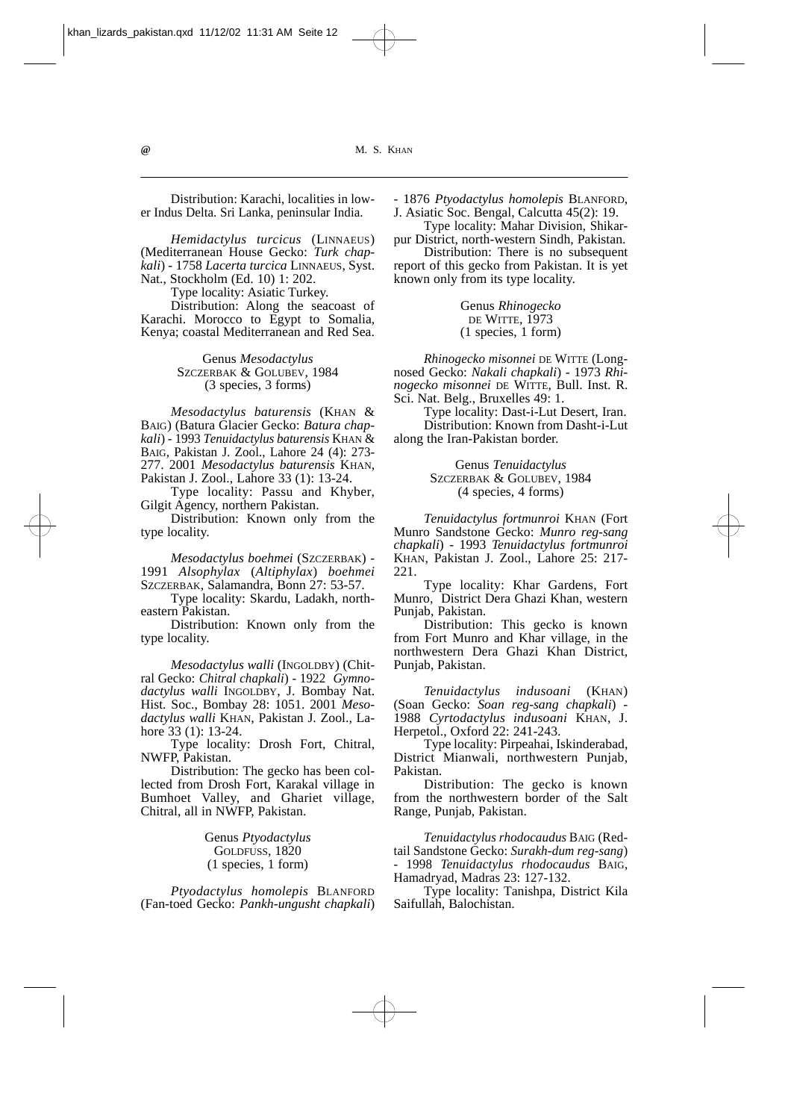Distribution: Karachi, localities in lower Indus Delta. Sri Lanka, peninsular India.

*Hemidactylus turcicus* (LINNAEUS) (Mediterranean House Gecko: *Turk chapkali*) *-* 1758 *Lacerta turcica* LINNAEUS, Syst. Nat., Stockholm (Ed. 10) 1: 202.

Type locality: Asiatic Turkey.

Distribution: Along the seacoast of Karachi. Morocco to Egypt to Somalia, Kenya; coastal Mediterranean and Red Sea.

> Genus *Mesodactylus*  SZCZERBAK & GOLUBEV, 1984 (3 species, 3 forms)

*Mesodactylus baturensis* (KHAN & BAIG) (Batura Glacier Gecko: *Batura chapkali*) - 1993 *Tenuidactylus baturensis* KHAN & BAIG, Pakistan J. Zool., Lahore 24 (4): 273- 277. 2001 *Mesodactylus baturensis* KHAN, Pakistan J. Zool., Lahore 33 (1): 13-24.

Type locality: Passu and Khyber, Gilgit Agency, northern Pakistan.

Distribution: Known only from the type locality.

*Mesodactylus boehmei* (SZCZERBAK) - 1991 *Alsophylax* (*Altiphylax*) *boehmei* SZCZERBAK, Salamandra, Bonn 27: 53-57.

Type locality: Skardu, Ladakh, northeastern Pakistan.

Distribution: Known only from the type locality.

*Mesodactylus walli* (INGOLDBY) (Chitral Gecko: *Chitral chapkali*) - 1922 *Gymnodactylus walli* INGOLDBY, J. Bombay Nat. Hist. Soc., Bombay 28: 1051. 2001 *Mesodactylus walli* KHAN, Pakistan J. Zool., Lahore 33 (1): 13-24.

Type locality: Drosh Fort, Chitral, NWFP, Pakistan.

Distribution: The gecko has been collected from Drosh Fort, Karakal village in Bumhoet Valley, and Ghariet village, Chitral, all in NWFP, Pakistan.

> Genus *Ptyodactylus*  GOLDFUSS, 1820 (1 species, 1 form)

*Ptyodactylus homolepis* BLANFORD (Fan-toed Gecko: *Pankh-ungusht chapkali*)

*-* 1876 *Ptyodactylus homolepis* BLANFORD, J. Asiatic Soc. Bengal, Calcutta 45(2): 19.

Type locality: Mahar Division, Shikarpur District, north-western Sindh, Pakistan.

Distribution: There is no subsequent report of this gecko from Pakistan. It is yet known only from its type locality.

> Genus *Rhinogecko* DE WITTE, 1973 (1 species, 1 form)

*Rhinogecko misonnei* DE WITTE (Longnosed Gecko: *Nakali chapkali*) *-* 1973 *Rhinogecko misonnei* DE WITTE, Bull. Inst. R. Sci. Nat. Belg., Bruxelles 49: 1.

Type locality: Dast-i-Lut Desert, Iran. Distribution: Known from Dasht-i-Lut along the Iran-Pakistan border.

> Genus *Tenuidactylus*  SZCZERBAK & GOLUBEV, 1984 (4 species, 4 forms)

*Tenuidactylus fortmunroi* KHAN (Fort Munro Sandstone Gecko: *Munro reg-sang chapkali*) - 1993 *Tenuidactylus fortmunroi* KHAN, Pakistan J. Zool., Lahore 25: 217- 221.

Type locality: Khar Gardens, Fort Munro, District Dera Ghazi Khan, western Punjab, Pakistan.

Distribution: This gecko is known from Fort Munro and Khar village, in the northwestern Dera Ghazi Khan District, Punjab, Pakistan.

*Tenuidactylus indusoani* (KHAN) (Soan Gecko: *Soan reg-sang chapkali*) - 1988 *Cyrtodactylus indusoani* KHAN, J. Herpetol., Oxford 22: 241-243.

Type locality: Pirpeahai, Iskinderabad, District Mianwali, northwestern Punjab, Pakistan.

Distribution: The gecko is known from the northwestern border of the Salt Range, Punjab, Pakistan.

*Tenuidactylus rhodocaudus* BAIG (Redtail Sandstone Gecko: *Surakh-dum reg-sang*) - 1998 *Tenuidactylus rhodocaudus* BAIG, Hamadryad, Madras 23: 127-132.

Type locality: Tanishpa, District Kila Saifullah, Balochistan.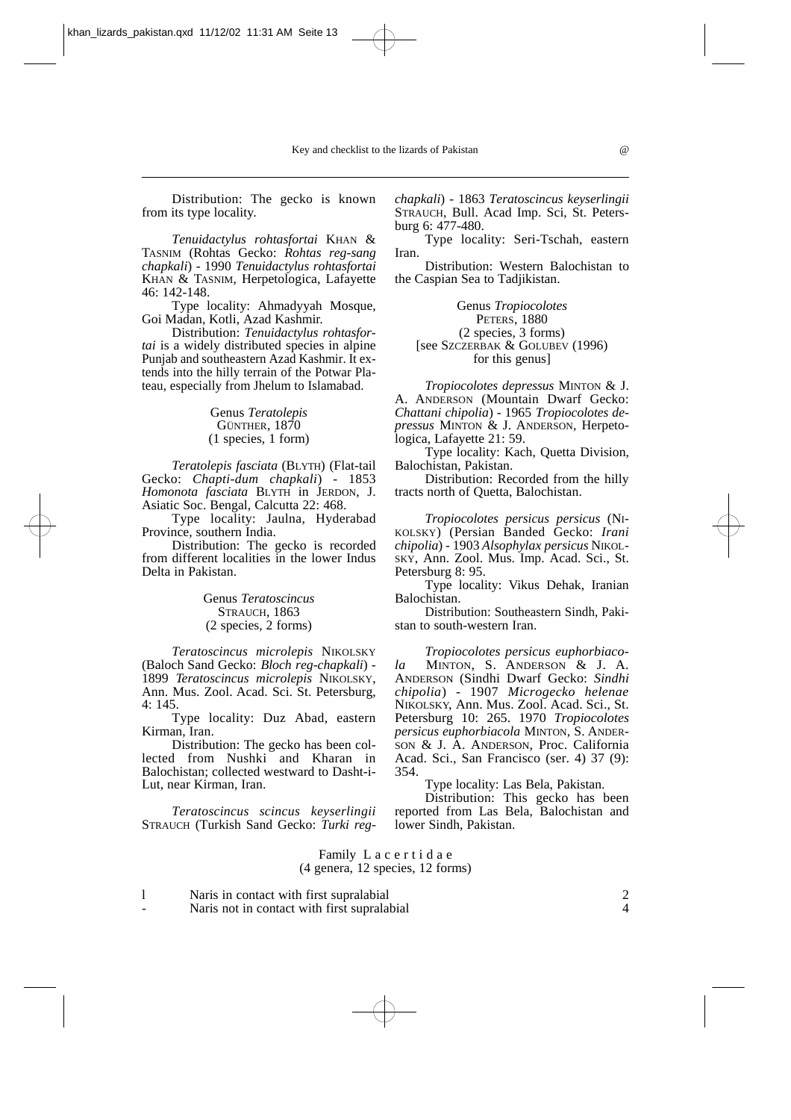Distribution: The gecko is known from its type locality.

*Tenuidactylus rohtasfortai* KHAN & TASNIM (Rohtas Gecko: *Rohtas reg-sang chapkali*) - 1990 *Tenuidactylus rohtasfortai* KHAN & TASNIM, Herpetologica, Lafayette 46: 142-148.

Type locality: Ahmadyyah Mosque, Goi Madan, Kotli, Azad Kashmir.

Distribution: *Tenuidactylus rohtasfortai* is a widely distributed species in alpine Punjab and southeastern Azad Kashmir. It extends into the hilly terrain of the Potwar Plateau, especially from Jhelum to Islamabad.

> Genus *Teratolepis*  GÜNTHER, 1870 (1 species, 1 form)

*Teratolepis fasciata* (BLYTH) (Flat-tail Gecko: *Chapti-dum chapkali*) - 1853 *Homonota fasciata* BLYTH in JERDON, J. Asiatic Soc. Bengal, Calcutta 22: 468.

Type locality: Jaulna, Hyderabad Province, southern India.

Distribution: The gecko is recorded from different localities in the lower Indus Delta in Pakistan.

> Genus *Teratoscincus* STRAUCH, 1863 (2 species, 2 forms)

*Teratoscincus microlepis* NIKOLSKY (Baloch Sand Gecko: *Bloch reg-chapkali*) - 1899 *Teratoscincus microlepis* NIKOLSKY, Ann. Mus. Zool. Acad. Sci. St. Petersburg, 4: 145.

Type locality: Duz Abad, eastern Kirman, Iran.

Distribution: The gecko has been collected from Nushki and Kharan in Balochistan; collected westward to Dasht-i-Lut, near Kirman, Iran.

*Teratoscincus scincus keyserlingii* STRAUCH (Turkish Sand Gecko: *Turki reg-* *chapkali*) - 1863 *Teratoscincus keyserlingii* STRAUCH, Bull. Acad Imp. Sci, St. Petersburg 6: 477-480.

Type locality: Seri-Tschah, eastern Iran.

Distribution: Western Balochistan to the Caspian Sea to Tadjikistan.

Genus *Tropiocolotes*  PETERS, 1880 (2 species, 3 forms) [see SZCZERBAK & GOLUBEV (1996) for this genus]

*Tropiocolotes depressus* MINTON & J. A. ANDERSON (Mountain Dwarf Gecko: *Chattani chipolia*) - 1965 *Tropiocolotes depressus* MINTON & J. ANDERSON, Herpetologica, Lafayette 21: 59.

Type locality: Kach, Quetta Division, Balochistan, Pakistan.

Distribution: Recorded from the hilly tracts north of Quetta, Balochistan.

*Tropiocolotes persicus persicus* (NI-KOLSKY) (Persian Banded Gecko: *Irani chipolia*) - 1903 *Alsophylax persicus* NIKOL-SKY, Ann. Zool. Mus. Imp. Acad. Sci., St. Petersburg 8: 95.

Type locality: Vikus Dehak, Iranian Balochistan.

Distribution: Southeastern Sindh, Pakistan to south-western Iran.

*Tropiocolotes persicus euphorbiacola* MINTON, S. ANDERSON & J. A. ANDERSON (Sindhi Dwarf Gecko: *Sindhi chipolia*) - 1907 *Microgecko helenae* NIKOLSKY, Ann. Mus. Zool. Acad. Sci., St. Petersburg 10: 265. 1970 *Tropiocolotes persicus euphorbiacola* MINTON, S. ANDER-SON & J. A. ANDERSON, Proc. California Acad. Sci., San Francisco (ser. 4) 37 (9): 354.

Type locality: Las Bela, Pakistan.

Distribution: This gecko has been reported from Las Bela, Balochistan and lower Sindh, Pakistan.

## Family L a c e r t i d a e (4 genera, 12 species, 12 forms)

l 1 Naris in contact with first supralabial 2<br>
2<br>
2<br>
2<br>
2<br>
4

Naris not in contact with first supralabial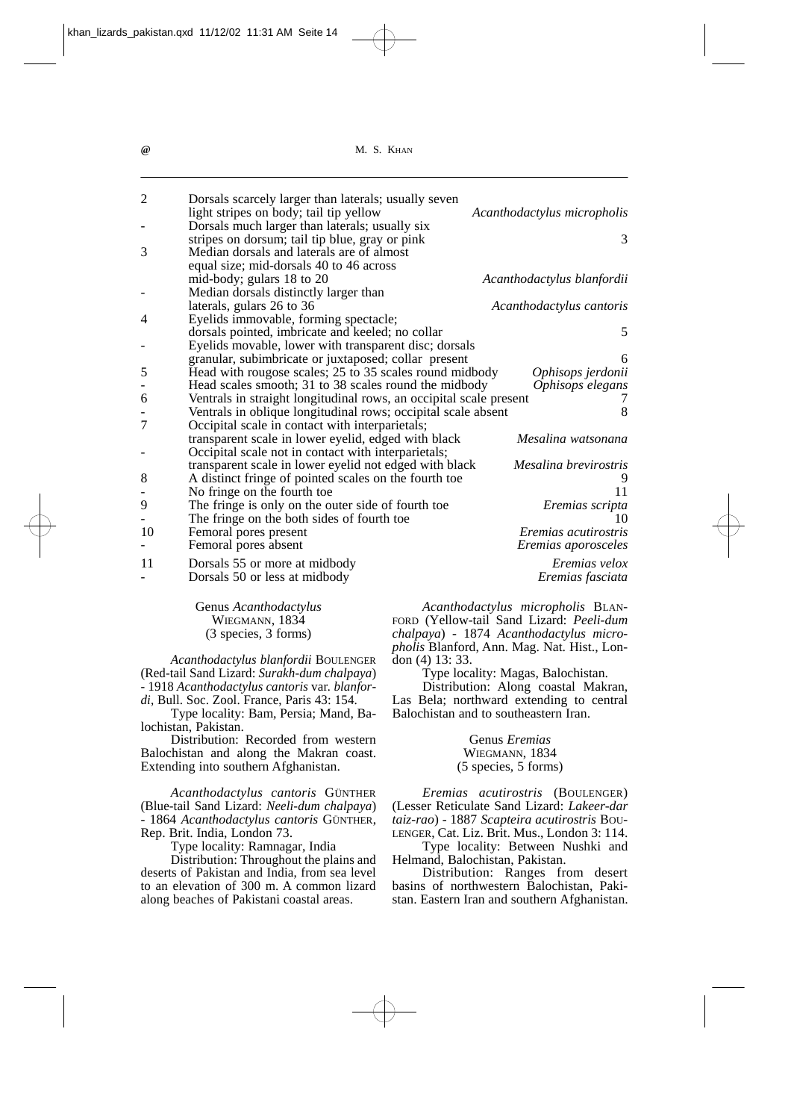| $\overline{2}$ | Dorsals scarcely larger than laterals; usually seven               |                             |
|----------------|--------------------------------------------------------------------|-----------------------------|
|                | light stripes on body; tail tip yellow                             | Acanthodactylus micropholis |
|                | Dorsals much larger than laterals; usually six                     |                             |
|                | stripes on dorsum; tail tip blue, gray or pink                     | 3                           |
| 3              | Median dorsals and laterals are of almost                          |                             |
|                | equal size; mid-dorsals 40 to 46 across                            |                             |
|                | mid-body; gulars 18 to 20                                          | Acanthodactylus blanfordii  |
|                | Median dorsals distinctly larger than                              |                             |
|                | laterals, gulars 26 to 36                                          | Acanthodactylus cantoris    |
| 4              | Eyelids immovable, forming spectacle;                              |                             |
|                | dorsals pointed, imbricate and keeled; no collar                   | 5                           |
|                | Eyelids movable, lower with transparent disc; dorsals              |                             |
|                | granular, subimbricate or juxtaposed; collar present               | 6                           |
| 5              | Head with rougose scales; 25 to 35 scales round midbody            | Ophisops jerdonii           |
|                | Head scales smooth; 31 to 38 scales round the midbody              | Ophisops elegans            |
| 6              | Ventrals in straight longitudinal rows, an occipital scale present |                             |
|                | Ventrals in oblique longitudinal rows; occipital scale absent      | 8                           |
| $\overline{7}$ | Occipital scale in contact with interparietals;                    |                             |
|                | transparent scale in lower eyelid, edged with black                | Mesalina watsonana          |
|                | Occipital scale not in contact with interparietals;                |                             |
|                | transparent scale in lower eyelid not edged with black             | Mesalina brevirostris       |
| 8              | A distinct fringe of pointed scales on the fourth toe              |                             |
|                | No fringe on the fourth toe                                        | 11                          |
| 9              | The fringe is only on the outer side of fourth toe                 | Eremias scripta             |
|                | The fringe on the both sides of fourth toe                         | 10                          |
| 10             | Femoral pores present                                              | Eremias acutirostris        |
|                | Femoral pores absent                                               | Eremias aporosceles         |
| 11             | Dorsals 55 or more at midbody                                      | Eremias velox               |
|                | Dorsals 50 or less at midbody                                      | Eremias fasciata            |
|                |                                                                    |                             |

Genus *Acanthodactylus* WIEGMANN, 1834 (3 species, 3 forms)

*Acanthodactylus blanfordii* BOULENGER (Red-tail Sand Lizard: *Surakh-dum chalpaya*) - 1918 *Acanthodactylus cantoris* var*. blanfordi*, Bull. Soc. Zool. France, Paris 43: 154.

Type locality: Bam, Persia; Mand, Balochistan, Pakistan.

Distribution: Recorded from western Balochistan and along the Makran coast. Extending into southern Afghanistan.

*Acanthodactylus cantoris* GÜNTHER (Blue-tail Sand Lizard: *Neeli-dum chalpaya*) - 1864 *Acanthodactylus cantoris* GÜNTHER, Rep. Brit. India, London 73.

Type locality: Ramnagar, India

Distribution: Throughout the plains and deserts of Pakistan and India, from sea level to an elevation of 300 m. A common lizard along beaches of Pakistani coastal areas.

*Acanthodactylus micropholis* BLAN-FORD (Yellow-tail Sand Lizard: *Peeli-dum chalpaya*) - 1874 *Acanthodactylus micropholis* Blanford, Ann. Mag. Nat. Hist., London (4) 13: 33.

Type locality: Magas, Balochistan.

Distribution: Along coastal Makran, Las Bela; northward extending to central Balochistan and to southeastern Iran.

#### Genus *Eremias*  WIEGMANN, 1834 (5 species, 5 forms)

*Eremias acutirostris* (BOULENGER) (Lesser Reticulate Sand Lizard: *Lakeer-dar taiz-rao*) - 1887 *Scapteira acutirostris* BOU-LENGER, Cat. Liz. Brit. Mus., London 3: 114. Type locality: Between Nushki and

Helmand, Balochistan, Pakistan.

Distribution: Ranges from desert basins of northwestern Balochistan, Pakistan. Eastern Iran and southern Afghanistan.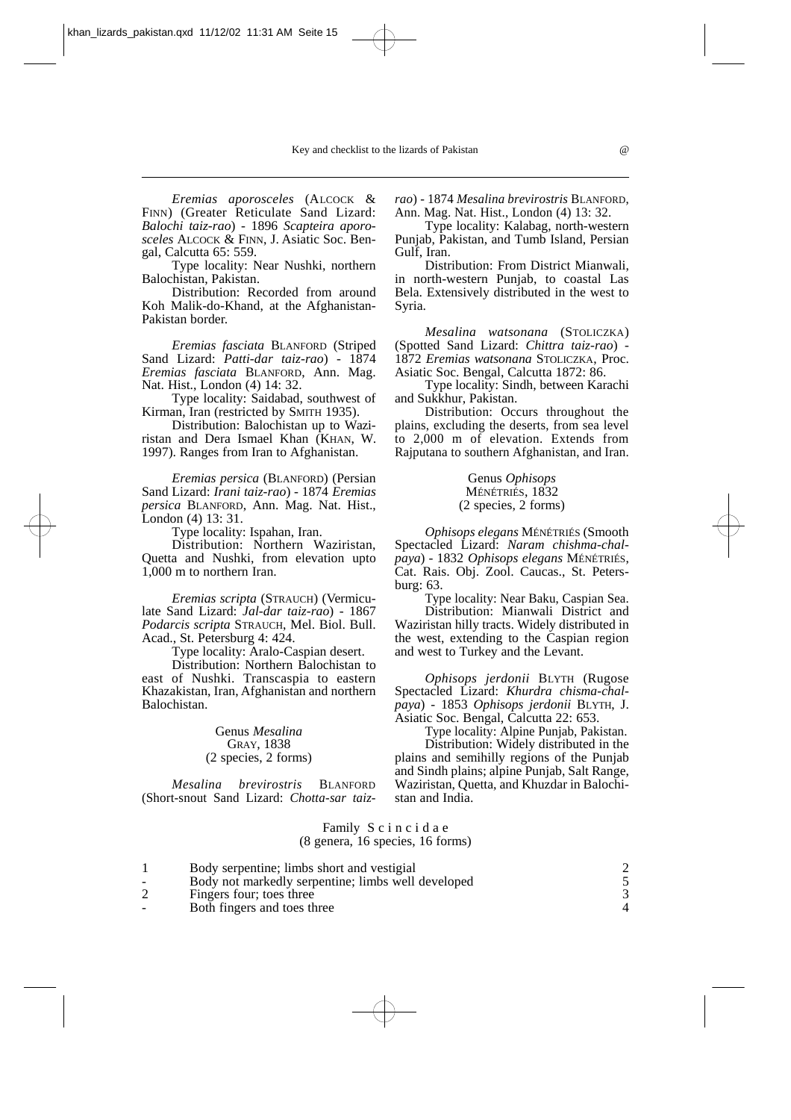*Eremias aporosceles* (ALCOCK & FINN) (Greater Reticulate Sand Lizard: *Balochi taiz-rao*) - 1896 *Scapteira aporosceles* ALCOCK & FINN, J. Asiatic Soc. Bengal, Calcutta 65: 559.

Type locality: Near Nushki, northern Balochistan, Pakistan.

Distribution: Recorded from around Koh Malik-do-Khand, at the Afghanistan-Pakistan border.

*Eremias fasciata* BLANFORD (Striped Sand Lizard: *Patti-dar taiz-rao*) - 1874 *Eremias fasciata* BLANFORD, Ann. Mag. Nat. Hist., London (4) 14: 32.

Type locality: Saidabad, southwest of Kirman, Iran (restricted by SMITH 1935).

Distribution: Balochistan up to Waziristan and Dera Ismael Khan (KHAN, W. 1997). Ranges from Iran to Afghanistan.

*Eremias persica* (BLANFORD) (Persian Sand Lizard: *Irani taiz-rao*) - 1874 *Eremias persica* BLANFORD, Ann. Mag. Nat. Hist., London (4) 13: 31.

Type locality: Ispahan, Iran.

Distribution: Northern Waziristan, Quetta and Nushki, from elevation upto 1,000 m to northern Iran.

*Eremias scripta* (STRAUCH) (Vermiculate Sand Lizard: *Jal-dar taiz-rao*) - 1867 *Podarcis scripta* STRAUCH, Mel. Biol. Bull. Acad., St. Petersburg 4: 424.

Type locality: Aralo-Caspian desert.

Distribution: Northern Balochistan to east of Nushki. Transcaspia to eastern Khazakistan, Iran, Afghanistan and northern Balochistan.

> Genus *Mesalina*  GRAY, 1838 (2 species, 2 forms)

*Mesalina brevirostris* BLANFORD (Short-snout Sand Lizard: *Chotta-sar taiz-* *rao*) - 1874 *Mesalina brevirostris* BLANFORD, Ann. Mag. Nat. Hist., London (4) 13: 32.

Type locality: Kalabag, north-western Punjab, Pakistan, and Tumb Island, Persian Gulf, Iran.

Distribution: From District Mianwali, in north-western Punjab, to coastal Las Bela. Extensively distributed in the west to Syria.

*Mesalina watsonana* (STOLICZKA) (Spotted Sand Lizard: *Chittra taiz-rao*) - 1872 *Eremias watsonana* STOLICZKA, Proc. Asiatic Soc. Bengal, Calcutta 1872: 86.

Type locality: Sindh, between Karachi and Sukkhur, Pakistan.

Distribution: Occurs throughout the plains, excluding the deserts, from sea level to 2,000 m of elevation. Extends from Rajputana to southern Afghanistan, and Iran.

#### Genus *Ophisops*  MÉNÉTRIÉS, 1832 (2 species, 2 forms)

*Ophisops elegans* MÉNÉTRIÉS (Smooth Spectacled Lizard: *Naram chishma-chalpaya*) - 1832 *Ophisops elegans* MÉNÉTRIÉS, Cat. Rais. Obj. Zool. Caucas., St. Petersburg: 63.

Type locality: Near Baku, Caspian Sea.

Distribution: Mianwali District and Waziristan hilly tracts. Widely distributed in the west, extending to the Caspian region and west to Turkey and the Levant.

*Ophisops jerdonii* BLYTH (Rugose Spectacled Lizard: *Khurdra chisma-chalpaya*) - 1853 *Ophisops jerdonii* BLYTH, J. Asiatic Soc. Bengal, Calcutta 22: 653.

Type locality: Alpine Punjab, Pakistan.

Distribution: Widely distributed in the plains and semihilly regions of the Punjab and Sindh plains; alpine Punjab, Salt Range, Waziristan, Quetta, and Khuzdar in Balochistan and India.

#### Family S c i n c i d a e (8 genera, 16 species, 16 forms)

|        | Body serpentine; limbs short and vestigial         |  |
|--------|----------------------------------------------------|--|
| $\sim$ | Body not markedly serpentine; limbs well developed |  |
| 2      | Fingers four; toes three                           |  |
| $\sim$ | Both fingers and toes three                        |  |

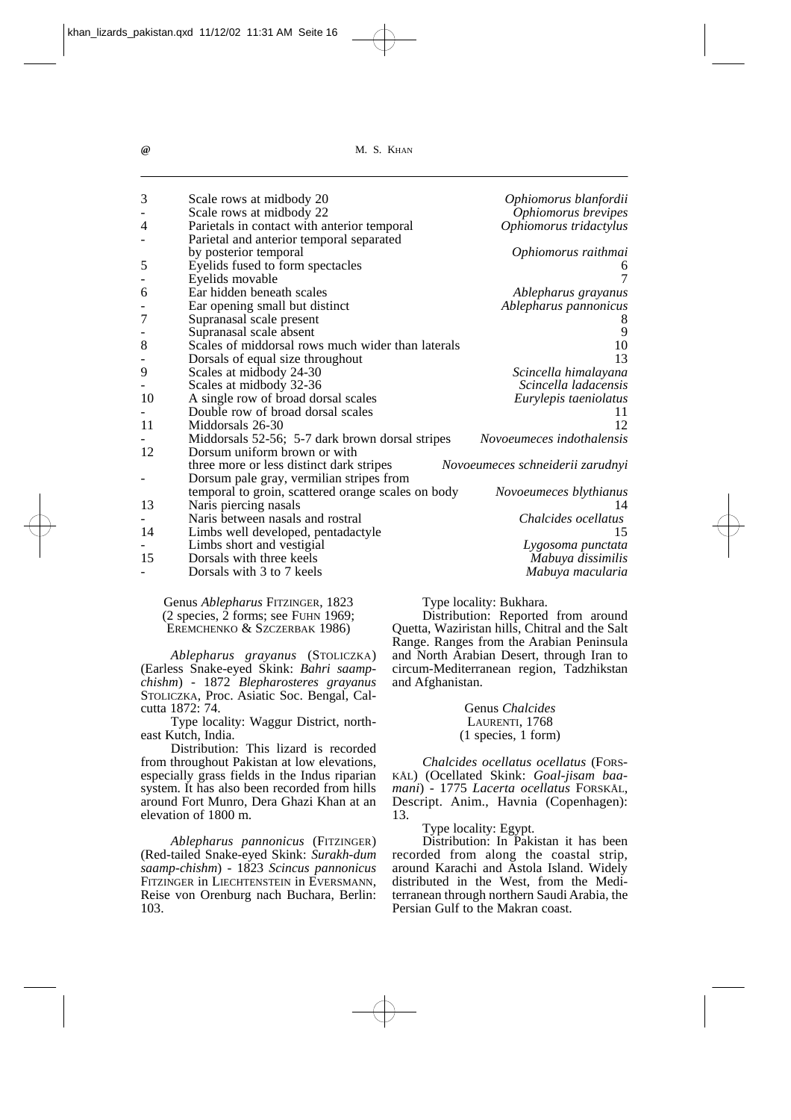| 3              | Scale rows at midbody 20                           | Ophiomorus blanfordii            |
|----------------|----------------------------------------------------|----------------------------------|
|                | Scale rows at midbody 22                           | Ophiomorus brevipes              |
| 4              | Parietals in contact with anterior temporal        | Ophiomorus tridactylus           |
|                | Parietal and anterior temporal separated           |                                  |
|                | by posterior temporal                              | Ophiomorus raithmai              |
| 5              | Eyelids fused to form spectacles                   |                                  |
|                | Eyelids movable                                    | 7                                |
| 6              | Ear hidden beneath scales                          | Ablepharus grayanus              |
| -              | Ear opening small but distinct                     | Ablepharus pannonicus            |
| $\overline{7}$ | Supranasal scale present                           |                                  |
|                | Supranasal scale absent                            | 9                                |
| 8              | Scales of middorsal rows much wider than laterals  | 10                               |
| -              | Dorsals of equal size throughout                   | 13                               |
| 9              | Scales at midbody 24-30                            | Scincella himalayana             |
|                | Scales at midbody 32-36                            | Scincella ladacensis             |
| 10             | A single row of broad dorsal scales                | Eurylepis taeniolatus            |
|                | Double row of broad dorsal scales                  | 11                               |
| 11             | Middorsals 26-30                                   | 12                               |
|                | Middorsals 52-56; 5-7 dark brown dorsal stripes    | Novoeumeces indothalensis        |
| 12             | Dorsum uniform brown or with                       |                                  |
|                | three more or less distinct dark stripes           | Novoeumeces schneiderii zarudnyi |
| -              | Dorsum pale gray, vermilian stripes from           |                                  |
|                | temporal to groin, scattered orange scales on body | Novoeumeces blythianus           |
| 13             | Naris piercing nasals                              | 14                               |
|                | Naris between nasals and rostral                   | Chalcides ocellatus              |
| 14             | Limbs well developed, pentadactyle                 | 15                               |
|                | Limbs short and vestigial                          | Lygosoma punctata                |
| 15             | Dorsals with three keels                           | Mabuya dissimilis                |
|                | Dorsals with 3 to 7 keels                          | Mabuya macularia                 |
|                |                                                    |                                  |

Genus *Ablepharus* FITZINGER, 1823  $(2 \text{ species}, 2 \text{ forms}; \text{see} \text{ FUHN } 1969;$ EREMCHENKO & SZCZERBAK 1986)

*Ablepharus grayanus* (STOLICZKA) (Earless Snake-eyed Skink: *Bahri saampchishm*) - 1872 *Blepharosteres grayanus* STOLICZKA, Proc. Asiatic Soc. Bengal, Calcutta 1872: 74.

Type locality: Waggur District, northeast Kutch, India.

Distribution: This lizard is recorded from throughout Pakistan at low elevations, especially grass fields in the Indus riparian system. It has also been recorded from hills around Fort Munro, Dera Ghazi Khan at an elevation of 1800 m.

*Ablepharus pannonicus* (FITZINGER) (Red-tailed Snake-eyed Skink: *Surakh-dum saamp-chishm*) - 1823 *Scincus pannonicus* FITZINGER in LIECHTENSTEIN in EVERSMANN, Reise von Orenburg nach Buchara, Berlin: 103.

Type locality: Bukhara.

Distribution: Reported from around Quetta, Waziristan hills, Chitral and the Salt Range. Ranges from the Arabian Peninsula and North Arabian Desert, through Iran to circum-Mediterranean region, Tadzhikstan and Afghanistan.

> Genus *Chalcides* LAURENTI, 1768 (1 species, 1 form)

*Chalcides ocellatus ocellatus* (FORS-KÅL) (Ocellated Skink: *Goal-jisam baamani*) - 1775 *Lacerta ocellatus* FORSKÅL, Descript. Anim., Havnia (Copenhagen): 13.

Type locality: Egypt.

Distribution: In Pakistan it has been recorded from along the coastal strip, around Karachi and Astola Island. Widely distributed in the West, from the Mediterranean through northern Saudi Arabia, the Persian Gulf to the Makran coast.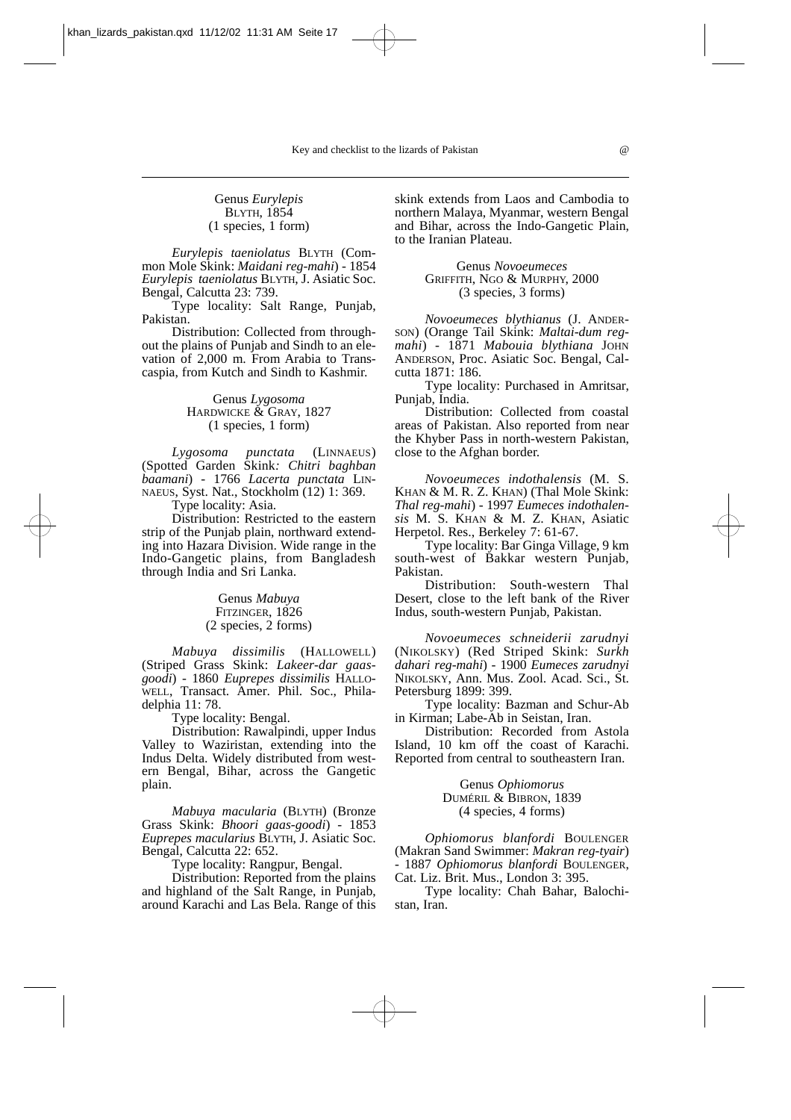#### Genus *Eurylepis* BLYTH, 1854 (1 species, 1 form)

*Eurylepis taeniolatus* BLYTH (Common Mole Skink: *Maidani reg-mahi*) - 1854 *Eurylepis taeniolatus* BLYTH, J. Asiatic Soc. Bengal, Calcutta 23: 739.

Type locality: Salt Range, Punjab, Pakistan.

Distribution: Collected from throughout the plains of Punjab and Sindh to an elevation of 2,000 m. From Arabia to Transcaspia, from Kutch and Sindh to Kashmir.

## Genus *Lygosoma*  HARDWICKE & GRAY, 1827 (1 species, 1 form)

*Lygosoma punctata* (LINNAEUS) (Spotted Garden Skink*: Chitri baghban baamani*) - 1766 *Lacerta punctata* LIN-NAEUS, Syst. Nat., Stockholm (12) 1: 369. Type locality: Asia.

Distribution: Restricted to the eastern strip of the Punjab plain, northward extending into Hazara Division. Wide range in the Indo-Gangetic plains, from Bangladesh through India and Sri Lanka.

> Genus *Mabuya*  FITZINGER, 1826 (2 species, 2 forms)

*Mabuya dissimilis* (HALLOWELL) (Striped Grass Skink: *Lakeer-dar gaasgoodi*) - 1860 *Euprepes dissimilis* HALLO-WELL, Transact. Amer. Phil. Soc., Philadelphia 11: 78.

Type locality: Bengal.

Distribution: Rawalpindi, upper Indus Valley to Waziristan, extending into the Indus Delta. Widely distributed from western Bengal, Bihar, across the Gangetic plain.

*Mabuya macularia* (BLYTH) (Bronze Grass Skink: *Bhoori gaas-goodi*) - 1853 *Euprepes macularius* BLYTH, J. Asiatic Soc. Bengal, Calcutta 22: 652.

Type locality: Rangpur, Bengal.

Distribution: Reported from the plains and highland of the Salt Range, in Punjab, around Karachi and Las Bela. Range of this

skink extends from Laos and Cambodia to northern Malaya, Myanmar, western Bengal and Bihar, across the Indo-Gangetic Plain, to the Iranian Plateau.

#### Genus *Novoeumeces* GRIFFITH, NGO & MURPHY, 2000 (3 species, 3 forms)

*Novoeumeces blythianus* (J. ANDER-SON) (Orange Tail Skink: *Maltai-dum regmahi*) - 1871 *Mabouia blythiana* JOHN ANDERSON, Proc. Asiatic Soc. Bengal, Calcutta 1871: 186.

Type locality: Purchased in Amritsar, Punjab, India.

Distribution: Collected from coastal areas of Pakistan. Also reported from near the Khyber Pass in north-western Pakistan, close to the Afghan border.

*Novoeumeces indothalensis* (M. S. KHAN & M. R. Z. KHAN) (Thal Mole Skink: *Thal reg-mahi*) - 1997 *Eumeces indothalensis* M. S. KHAN & M. Z. KHAN, Asiatic Herpetol. Res., Berkeley 7: 61-67.

Type locality: Bar Ginga Village, 9 km south-west of Bakkar western Punjab, Pakistan.

Distribution: South-western Thal Desert, close to the left bank of the River Indus, south-western Punjab, Pakistan.

*Novoeumeces schneiderii zarudnyi* (NIKOLSKY) (Red Striped Skink: *Surkh dahari reg-mahi*) - 1900 *Eumeces zarudnyi* NIKOLSKY, Ann. Mus. Zool. Acad. Sci., St. Petersburg 1899: 399.

Type locality: Bazman and Schur-Ab in Kirman; Labe-Ab in Seistan, Iran.

Distribution: Recorded from Astola Island, 10 km off the coast of Karachi. Reported from central to southeastern Iran.

> Genus *Ophiomorus*  DUMÉRIL & BIBRON, 1839 (4 species, 4 forms)

*Ophiomorus blanfordi* BOULENGER (Makran Sand Swimmer: *Makran reg-tyair*) - 1887 *Ophiomorus blanfordi* BOULENGER, Cat. Liz. Brit. Mus., London 3: 395.

Type locality: Chah Bahar, Balochistan, Iran.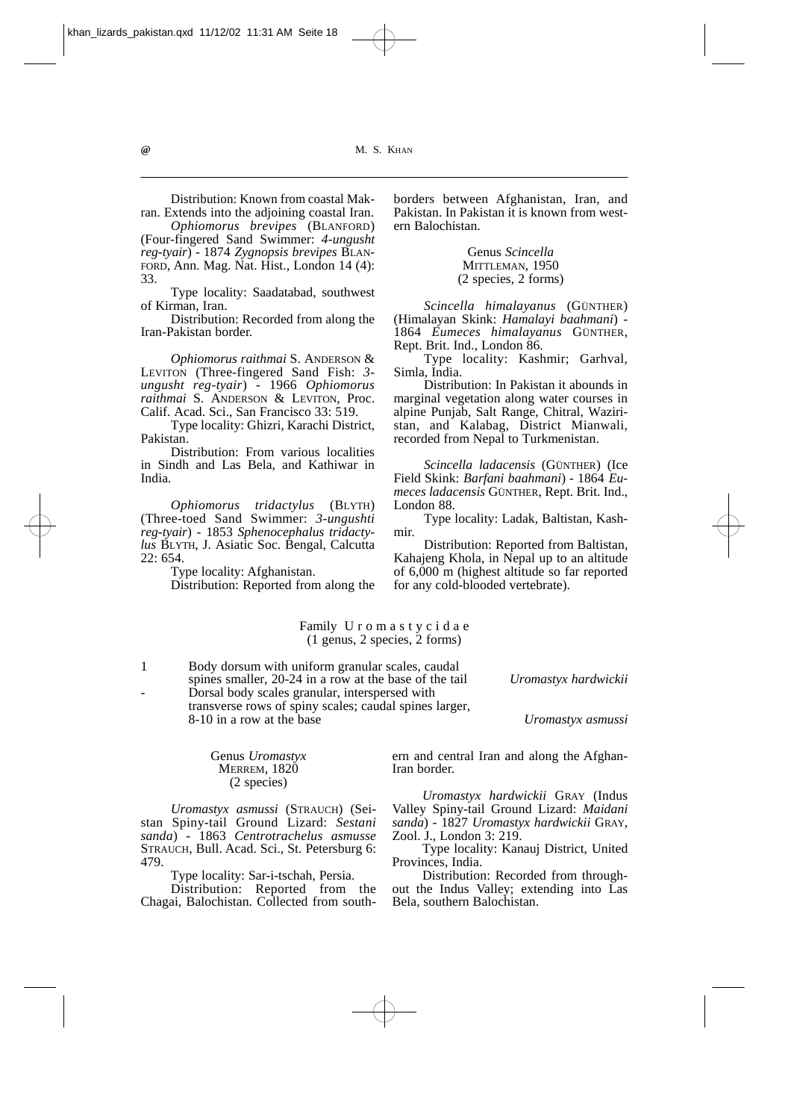khan\_lizards\_pakistan.qxd 11/12/02 11:31 AM Seite 18

**@** M. S. KHAN

Distribution: Known from coastal Makran. Extends into the adjoining coastal Iran.

*Ophiomorus brevipes* (BLANFORD) (Four-fingered Sand Swimmer: *4-ungusht reg-tyair*) - 1874 *Zygnopsis brevipes* BLAN-FORD, Ann. Mag. Nat. Hist., London 14 (4): 33.

Type locality: Saadatabad, southwest of Kirman, Iran.

Distribution: Recorded from along the Iran-Pakistan border.

*Ophiomorus raithmai* S. ANDERSON & LEVITON (Three-fingered Sand Fish: *3 ungusht reg-tyair*) - 1966 *Ophiomorus raithmai* S. ANDERSON & LEVITON, Proc. Calif. Acad. Sci., San Francisco 33: 519.

Type locality: Ghizri, Karachi District, Pakistan.

Distribution: From various localities in Sindh and Las Bela, and Kathiwar in India.

*Ophiomorus tridactylus* (BLYTH) (Three-toed Sand Swimmer: *3-ungushti reg-tyair*) - 1853 *Sphenocephalus tridactylus* BLYTH, J. Asiatic Soc. Bengal, Calcutta 22: 654.

Type locality: Afghanistan.

Distribution: Reported from along the

borders between Afghanistan, Iran, and Pakistan. In Pakistan it is known from western Balochistan.

#### Genus *Scincella*  MITTLEMAN, 1950 (2 species, 2 forms)

*Scincella himalayanus* (GÜNTHER) (Himalayan Skink: *Hamalayi baahmani*) - 1864 *Eumeces himalayanus* GÜNTHER, Rept. Brit. Ind., London 86.

Type locality: Kashmir; Garhval, Simla, India.

Distribution: In Pakistan it abounds in marginal vegetation along water courses in alpine Punjab, Salt Range, Chitral, Waziristan, and Kalabag, District Mianwali, recorded from Nepal to Turkmenistan.

*Scincella ladacensis* (GÜNTHER) (Ice Field Skink: *Barfani baahmani*) - 1864 *Eumeces ladacensis* GÜNTHER, Rept. Brit. Ind., London 88.

Type locality: Ladak, Baltistan, Kashmir.

Distribution: Reported from Baltistan, Kahajeng Khola, in Nepal up to an altitude of 6,000 m (highest altitude so far reported for any cold-blooded vertebrate).

Family U r o m a s t y c i d a e (1 genus, 2 species, 2 forms)

1 Body dorsum with uniform granular scales, caudal

spines smaller, 20-24 in a row at the base of the tail *Uromastyx hardwickii*

Dorsal body scales granular, interspersed with transverse rows of spiny scales; caudal spines larger, 8-10 in a row at the base *Uromastyx asmussi*

> ern and central Iran and along the Afghan-Iran border.

> *Uromastyx hardwickii* GRAY (Indus Valley Spiny-tail Ground Lizard: *Maidani sanda*) - 1827 *Uromastyx hardwickii* GRAY, Zool. J., London 3: 219.

> Type locality: Kanauj District, United Provinces, India.

> Distribution: Recorded from throughout the Indus Valley; extending into Las Bela, southern Balochistan.

Genus *Uromastyx*  **MERREM, 1820** (2 species)

*Uromastyx asmussi* (STRAUCH) (Seistan Spiny-tail Ground Lizard: *Sestani sanda*) - 1863 *Centrotrachelus asmusse* STRAUCH, Bull. Acad. Sci., St. Petersburg 6: 479.

Type locality: Sar-i-tschah, Persia.

Distribution: Reported from the Chagai, Balochistan. Collected from south-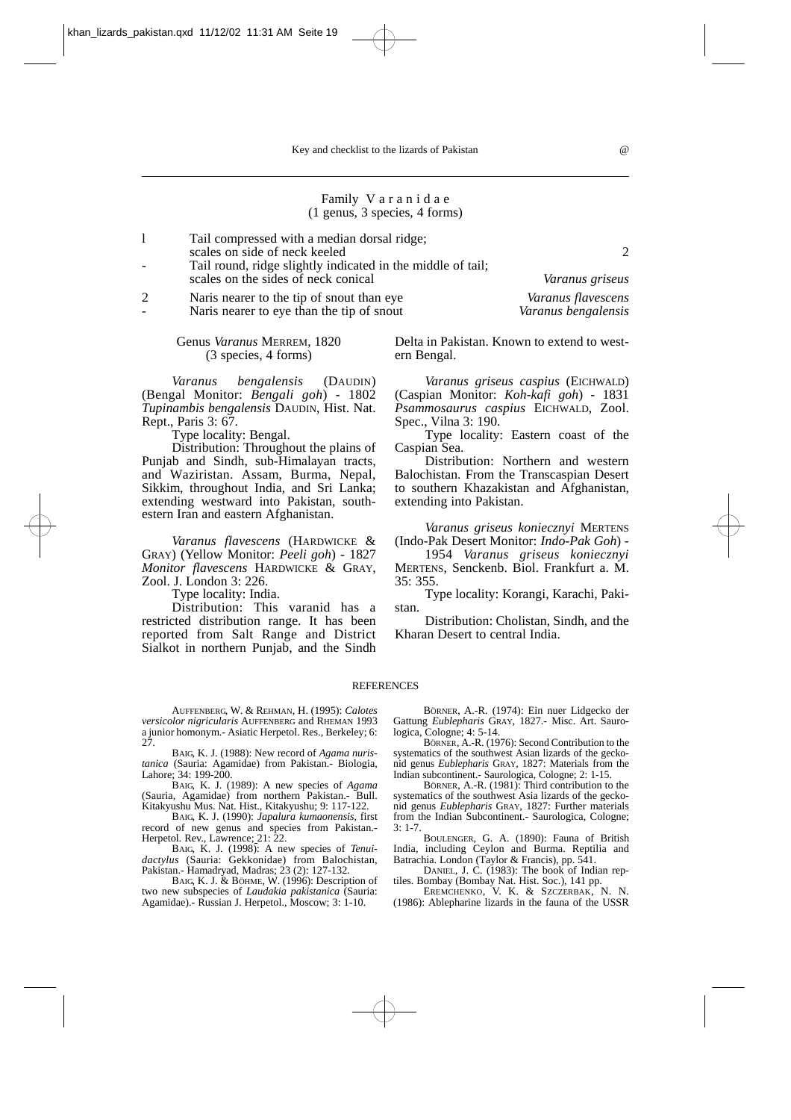#### Family V a r a n i d a e (1 genus, 3 species, 4 forms)

l Tail compressed with a median dorsal ridge; scales on side of neck keeled 2

Tail round, ridge slightly indicated in the middle of tail; scales on the sides of neck conical *Varanus griseus*

2 Naris nearer to the tip of snout than eye *Varanus flavescens*

- Naris nearer to eye than the tip of snout *Varanus bengalensis*

Genus *Varanus* MERREM, 1820 (3 species, 4 forms)

*Varanus bengalensis* (DAUDIN) (Bengal Monitor: *Bengali goh*) - 1802 *Tupinambis bengalensis* DAUDIN, Hist. Nat. Rept., Paris 3: 67.

Type locality: Bengal.

Distribution: Throughout the plains of Punjab and Sindh, sub-Himalayan tracts, and Waziristan. Assam, Burma, Nepal, Sikkim, throughout India, and Sri Lanka; extending westward into Pakistan, southestern Iran and eastern Afghanistan.

*Varanus flavescens* (HARDWICKE & GRAY) (Yellow Monitor: *Peeli goh*) - 1827 *Monitor flavescens* HARDWICKE & GRAY, Zool. J. London 3: 226.

Type locality: India.

Distribution: This varanid has a restricted distribution range. It has been reported from Salt Range and District Sialkot in northern Punjab, and the Sindh Delta in Pakistan. Known to extend to western Bengal.

*Varanus griseus caspius* (EICHWALD) (Caspian Monitor: *Koh-kafi goh*) - 1831 *Psammosaurus caspius* EICHWALD, Zool. Spec., Vilna 3: 190.

Type locality: Eastern coast of the Caspian Sea.

Distribution: Northern and western Balochistan. From the Transcaspian Desert to southern Khazakistan and Afghanistan, extending into Pakistan.

*Varanus griseus koniecznyi* MERTENS (Indo-Pak Desert Monitor: *Indo-Pak Goh*) -

1954 *Varanus griseus koniecznyi* MERTENS, Senckenb. Biol. Frankfurt a. M. 35: 355.

Type locality: Korangi, Karachi, Pakistan.

Distribution: Cholistan, Sindh, and the Kharan Desert to central India.

#### REFERENCES

AUFFENBERG, W. & REHMAN, H. (1995): *Calotes versicolor nigricularis* AUFFENBERG and RHEMAN 1993 a junior homonym.- Asiatic Herpetol. Res., Berkeley; 6: 27.

BAIG, K. J. (1988): New record of *Agama nuristanica* (Sauria: Agamidae) from Pakistan.- Biologia, Lahore; 34: 199-200.

BAIG, K. J. (1989): A new species of *Agama* (Sauria, Agamidae) from northern Pakistan.- Bull. Kitakyushu Mus. Nat. Hist., Kitakyushu; 9: 117-122.

BAIG, K. J. (1990): *Japalura kumaonensis*, first record of new genus and species from Pakistan. Herpetol. Rev., Lawrence; 21: 22.

BAIG, K. J. (1998): A new species of *Tenuidactylus* (Sauria: Gekkonidae) from Balochistan, Pakistan.- Hamadryad, Madras; 23 (2): 127-132.

BAIG, K. J. & BÖHME, W. (1996): Description of two new subspecies of *Laudakia pakistanica* (Sauria: Agamidae).- Russian J. Herpetol., Moscow; 3: 1-10.

BÖRNER, A.-R. (1974): Ein nuer Lidgecko der Gattung *Eublepharis* GRAY, 1827.- Misc. Art. Saurologica, Cologne; 4: 5-14.

BÖRNER, A.-R. (1976): Second Contribution to the systematics of the southwest Asian lizards of the geckonid genus *Eublepharis* GRAY, 1827: Materials from the Indian subcontinent.- Saurologica, Cologne; 2: 1-15.

BÖRNER, A.-R. (1981): Third contribution to the systematics of the southwest Asia lizards of the geckonid genus *Eublepharis* GRAY, 1827: Further materials from the Indian Subcontinent.- Saurologica, Cologne; 3: 1-7.

BOULENGER, G. A. (1890): Fauna of British India, including Ceylon and Burma. Reptilia and Batrachia. London (Taylor & Francis), pp. 541.

DANIEL, J. C. (1983): The book of Indian reptiles. Bombay (Bombay Nat. Hist. Soc.), 141 pp. EREMCHENKO, V. K. & SZCZERBAK, N. N.

(1986): Ablepharine lizards in the fauna of the USSR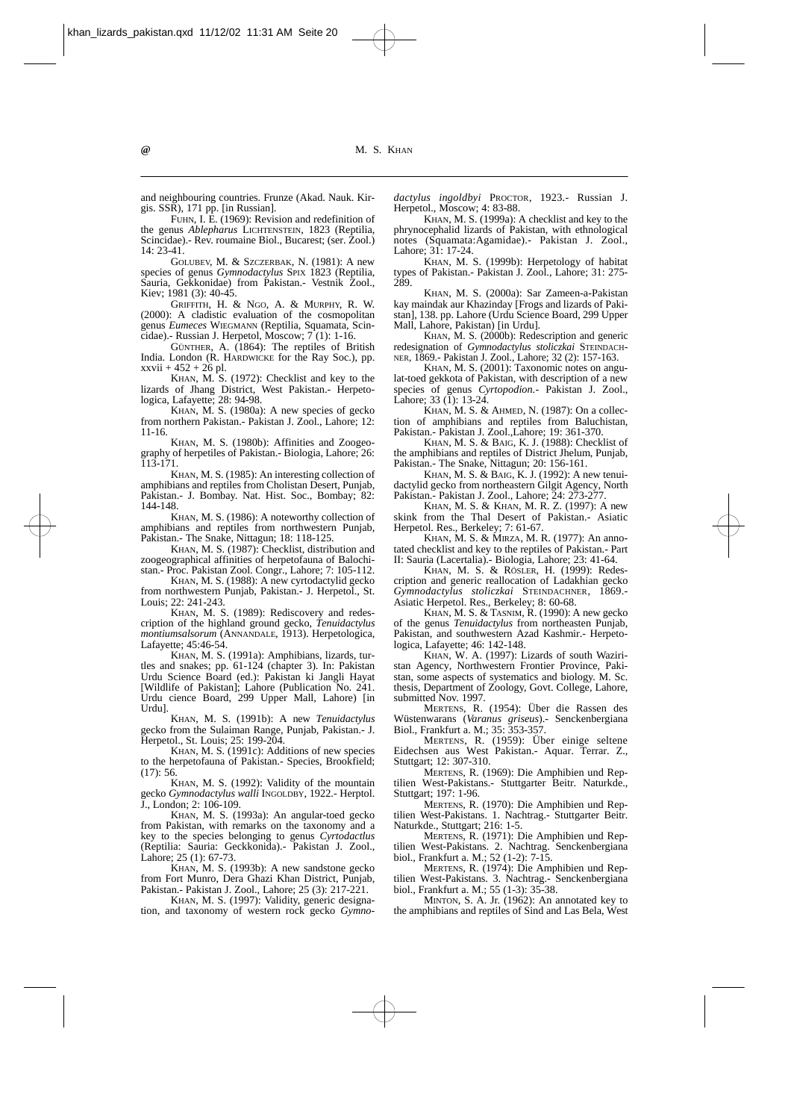and neighbouring countries. Frunze (Akad. Nauk. Kirgis. SSR), 171 pp. [in Russian].

FUHN, I. E. (1969): Revision and redefinition of the genus *Ablepharus* LICHTENSTEIN, 1823 (Reptilia, Scincidae).- Rev. roumaine Biol., Bucarest: (ser. Zool.) 14: 23-41.

GOLUBEV, M. & SZCZERBAK, N. (1981): A new species of genus *Gymnodactylus* SPIX 1823 (Reptilia, Sauria, Gekkonidae) from Pakistan.- Vestnik Zool., Kiev; 1981 (3): 40-45.

GRIFFITH, H. & NGO, A. & MURPHY, R. W. (2000): A cladistic evaluation of the cosmopolitan genus *Eumeces* WIEGMANN (Reptilia, Squamata, Scincidae).- Russian J. Herpetol, Moscow; 7 (1): 1-16.

GÜNTHER, A. (1864): The reptiles of British India. London (R. HARDWICKE for the Ray Soc.), pp. xxvii + 452 + 26 pl.

KHAN, M. S. (1972): Checklist and key to the lizards of Jhang District, West Pakistan.- Herpeto-logica, Lafayette; 28: 94-98.

KHAN, M. S. (1980a): A new species of gecko from northern Pakistan.- Pakistan J. Zool., Lahore; 12: 11-16.

KHAN, M. S. (1980b): Affinities and Zoogeography of herpetiles of Pakistan.- Biologia, Lahore; 26: 113-171.

KHAN, M. S. (1985): An interesting collection of amphibians and reptiles from Cholistan Desert, Punjab, Pakistan.- J. Bombay. Nat. Hist. Soc., Bombay; 82: 144-148.

KHAN, M. S. (1986): A noteworthy collection of amphibians and reptiles from northwestern Punjab, Pakistan.- The Snake, Nittagun; 18: 118-125.

KHAN, M. S. (1987): Checklist, distribution and zoogeographical affinities of herpetofauna of Balochistan.- Proc. Pakistan Zool. Congr., Lahore; 7: 105-112.

KHAN, M. S. (1988): A new cyrtodactylid gecko from northwestern Punjab, Pakistan.- J. Herpetol., St. Louis; 22: 241-243.

KHAN, M. S. (1989): Rediscovery and redescription of the highland ground gecko, *Tenuidactylus montiumsalsorum* (ANNANDALE, 1913). Herpetologica, Lafayette; 45:46-54.

KHAN, M. S. (1991a): Amphibians, lizards, turtles and snakes; pp. 61-124 (chapter 3). In: Pakistan Urdu Science Board (ed.): Pakistan ki Jangli Hayat [Wildlife of Pakistan]; Lahore (Publication No. 241. Urdu cience Board, 299 Upper Mall, Lahore) [in Urdu].

KHAN, M. S. (1991b): A new *Tenuidactylus* gecko from the Sulaiman Range, Punjab, Pakistan.- J. Herpetol., St. Louis; 25: 199-204.

KHAN, M. S.  $(1991c)$ : Additions of new species to the herpetofauna of Pakistan.- Species, Brookfield; (17): 56.

KHAN, M. S. (1992): Validity of the mountain gecko *Gymnodactylus walli* INGOLDBY, 1922.- Herptol. J., London; 2: 106-109.

KHAN, M. S. (1993a): An angular-toed gecko from Pakistan, with remarks on the taxonomy and a key to the species belonging to genus *Cyrtodactlus* (Reptilia: Sauria: Geckkonida).- Pakistan J. Zool., Lahore; 25 (1): 67-73.

KHAN, M. S. (1993b): A new sandstone gecko from Fort Munro, Dera Ghazi Khan District, Punjab, Pakistan.- Pakistan J. Zool., Lahore; 25 (3): 217-221.

KHAN, M. S. (1997): Validity, generic designation, and taxonomy of western rock gecko *Gymno-*

*dactylus ingoldbyi* PROCTOR, 1923.- Russian J. Herpetol., Moscow; 4: 83-88.

KHAN, M. S. (1999a): A checklist and key to the phrynocephalid lizards of Pakistan, with ethnological notes (Squamata:Agamidae).- Pakistan J. Zool., Lahore; 31: 17-24.

KHAN, M. S. (1999b): Herpetology of habitat types of Pakistan.- Pakistan J. Zool., Lahore; 31: 275- 289

KHAN, M. S. (2000a): Sar Zameen-a-Pakistan kay maindak aur Khazinday [Frogs and lizards of Pakistan], 138. pp. Lahore (Urdu Science Board, 299 Upper Mall, Lahore, Pakistan) [in Urdu].

KHAN, M. S. (2000b): Redescription and generic redesignation of *Gymnodactylus stoliczkai* STEINDACH-NER, 1869.- Pakistan J. Zool., Lahore; 32 (2): 157-163.

KHAN, M. S. (2001): Taxonomic notes on angulat-toed gekkota of Pakistan, with description of a new species of genus *Cyrtopodion.-* Pakistan J. Zool., Lahore; 33 (1): 13-24.

KHAN, M. S. & AHMED, N. (1987): On a collection of amphibians and reptiles from Baluchistan, Pakistan.- Pakistan J. Zool.,Lahore; 19: 361-370.

KHAN, M. S. & BAIG, K. J. (1988): Checklist of the amphibians and reptiles of District Jhelum, Punjab, Pakistan.- The Snake, Nittagun; 20: 156-161.

KHAN, M. S. & BAIG, K. J. (1992): A new tenuidactylid gecko from northeastern Gilgit Agency, North Pakistan.- Pakistan J. Zool., Lahore; 24: 273-277.

KHAN, M. S. & KHAN, M. R. Z. (1997): A new skink from the Thal Desert of Pakistan.- Asiatic Herpetol. Res., Berkeley; 7: 61-67.

KHAN, M. S. & MIRZA, M. R. (1977): An annotated checklist and key to the reptiles of Pakistan.- Part II: Sauria (Lacertalia).- Biologia, Lahore; 23: 41-64.

KHAN, M. S. & RÖSLER, H. (1999): Redescription and generic reallocation of Ladakhian gecko *Gymnodactylus stoliczkai* STEINDACHNER, 1869.- Asiatic Herpetol. Res., Berkeley; 8: 60-68.

KHAN, M. S. & TASNIM, R. (1990): A new gecko of the genus *Tenuidactylus* from northeasten Punjab, Pakistan, and southwestern Azad Kashmir.- Herpetologica, Lafayette; 46: 142-148.

KHAN, W. A. (1997): Lizards of south Waziristan Agency, Northwestern Frontier Province, Pakistan, some aspects of systematics and biology. M. Sc. thesis, Department of Zoology, Govt. College, Lahore, submitted Nov. 1997.

MERTENS, R. (1954): Über die Rassen des Wüstenwarans (*Varanus griseus*).- Senckenbergiana Biol., Frankfurt a. M.; 35: 353-357.

MERTENS, R. (1959): Über einige seltene Eidechsen aus West Pakistan.- Aquar. Terrar. Z., Stuttgart; 12: 307-310.

MERTENS, R. (1969): Die Amphibien und Reptilien West-Pakistans.- Stuttgarter Beitr. Naturkde., Stuttgart; 197: 1-96.

MERTENS, R. (1970): Die Amphibien und Reptilien West-Pakistans. 1. Nachtrag.- Stuttgarter Beitr. Naturkde., Stuttgart; 216: 1-5.

MERTENS, R. (1971): Die Amphibien und Reptilien West-Pakistans. 2. Nachtrag. Senckenbergiana biol., Frankfurt a. M.; 52 (1-2): 7-15.

MERTENS, R. (1974): Die Amphibien und Reptilien West-Pakistans. 3. Nachtrag.- Senckenbergiana biol., Frankfurt a. M.; 55 (1-3): 35-38.

MINTON, S. A. Jr. (1962): An annotated key to the amphibians and reptiles of Sind and Las Bela, West